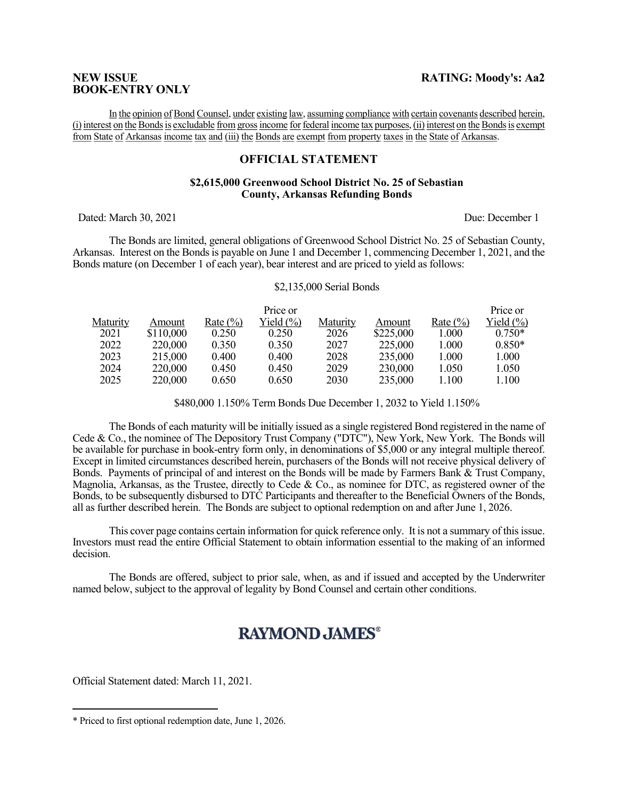# BOOK-ENTRY ONLY

In the opinion of Bond Counsel, under existing law, assuming compliance with certain covenants described herein, (i) interest on the Bonds is excludable from gross income for federal income tax purposes, (ii) interest on the Bonds is exempt from State of Arkansas income tax and (iii) the Bonds are exempt from property taxes in the State of Arkansas.

### OFFICIAL STATEMENT

#### \$2,615,000 Greenwood School District No. 25 of Sebastian County, Arkansas Refunding Bonds

Dated: March 30, 2021 Due: December 1

The Bonds are limited, general obligations of Greenwood School District No. 25 of Sebastian County, Arkansas. Interest on the Bonds is payable on June 1 and December 1, commencing December 1, 2021, and the Bonds mature (on December 1 of each year), bear interest and are priced to yield as follows:

#### \$2,135,000 Serial Bonds

|          |           |              | Price or      |          |           |              | Price or      |
|----------|-----------|--------------|---------------|----------|-----------|--------------|---------------|
| Maturity | Amount    | Rate $(\% )$ | Yield $(\% )$ | Maturity | Amount    | Rate $(\% )$ | Yield $(\% )$ |
| 2021     | \$110,000 | 0.250        | 0.250         | 2026     | \$225,000 | 1.000        | $0.750*$      |
| 2022     | 220,000   | 0.350        | 0.350         | 2027     | 225,000   | 1.000        | $0.850*$      |
| 2023     | 215,000   | 0.400        | 0.400         | 2028     | 235,000   | 1.000        | 1.000         |
| 2024     | 220,000   | 0.450        | 0.450         | 2029     | 230,000   | 1.050        | 1.050         |
| 2025     | 220,000   | 0.650        | 0.650         | 2030     | 235,000   | 1.100        | 1.100         |

\$480,000 1.150% Term Bonds Due December 1, 2032 to Yield 1.150%

The Bonds of each maturity will be initially issued as a single registered Bond registered in the name of Cede & Co., the nominee of The Depository Trust Company ("DTC"), New York, New York. The Bonds will be available for purchase in book-entry form only, in denominations of \$5,000 or any integral multiple thereof. Except in limited circumstances described herein, purchasers of the Bonds will not receive physical delivery of Bonds. Payments of principal of and interest on the Bonds will be made by Farmers Bank & Trust Company, Magnolia, Arkansas, as the Trustee, directly to Cede & Co., as nominee for DTC, as registered owner of the Bonds, to be subsequently disbursed to DTC Participants and thereafter to the Beneficial Owners of the Bonds, all as further described herein. The Bonds are subject to optional redemption on and after June 1, 2026.

 This cover page contains certain information for quick reference only. It is not a summary of this issue. Investors must read the entire Official Statement to obtain information essential to the making of an informed decision.

The Bonds are offered, subject to prior sale, when, as and if issued and accepted by the Underwriter named below, subject to the approval of legality by Bond Counsel and certain other conditions.

# **RAYMOND JAMES®**

Official Statement dated: March 11, 2021.

 $\overline{a}$ 

<sup>\*</sup> Priced to first optional redemption date, June 1, 2026.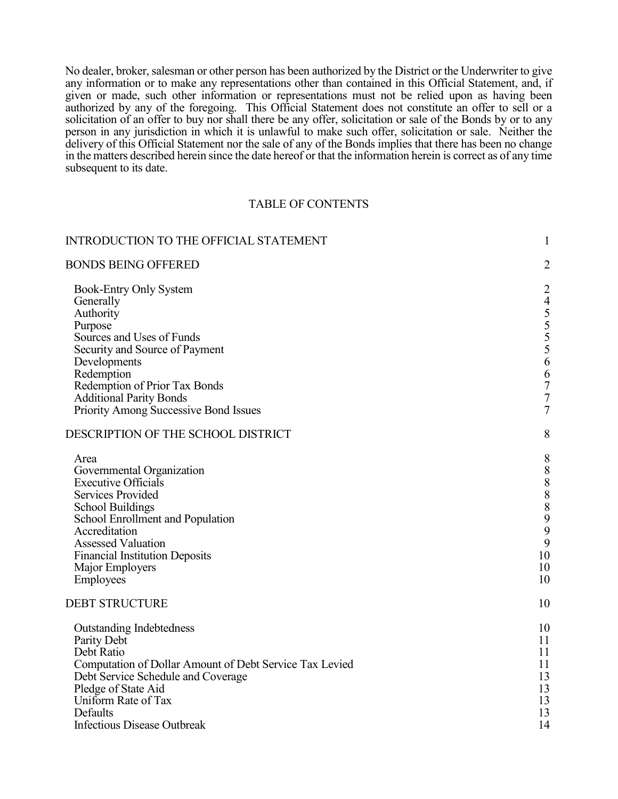No dealer, broker, salesman or other person has been authorized by the District or the Underwriter to give any information or to make any representations other than contained in this Official Statement, and, if given or made, such other information or representations must not be relied upon as having been authorized by any of the foregoing. This Official Statement does not constitute an offer to sell or a solicitation of an offer to buy nor shall there be any offer, solicitation or sale of the Bonds by or to any person in any jurisdiction in which it is unlawful to make such offer, solicitation or sale. Neither the delivery of this Official Statement nor the sale of any of the Bonds implies that there has been no change in the matters described herein since the date hereof or that the information herein is correct as of any time subsequent to its date.

#### TABLE OF CONTENTS

| INTRODUCTION TO THE OFFICIAL STATEMENT                  | $\mathbf{1}$                                    |
|---------------------------------------------------------|-------------------------------------------------|
| <b>BONDS BEING OFFERED</b>                              | $\overline{2}$                                  |
| Book-Entry Only System                                  | $\overline{2}$                                  |
| Generally                                               | $\overline{4}$                                  |
| Authority                                               |                                                 |
| Purpose                                                 |                                                 |
| Sources and Uses of Funds                               |                                                 |
| Security and Source of Payment                          | 55556                                           |
| Developments                                            |                                                 |
| Redemption                                              | $\begin{array}{c} 6 \\ 7 \\ 7 \end{array}$      |
| Redemption of Prior Tax Bonds                           |                                                 |
| <b>Additional Parity Bonds</b>                          |                                                 |
| Priority Among Successive Bond Issues                   | $\overline{7}$                                  |
| DESCRIPTION OF THE SCHOOL DISTRICT                      | 8                                               |
| Area                                                    | 8                                               |
| Governmental Organization                               |                                                 |
| <b>Executive Officials</b>                              | $\begin{array}{c} 8 \\ 8 \\ 8 \\ 8 \end{array}$ |
| Services Provided                                       |                                                 |
| <b>School Buildings</b>                                 |                                                 |
| School Enrollment and Population                        | $\begin{array}{c} 9 \\ 9 \\ 9 \end{array}$      |
| Accreditation                                           |                                                 |
| <b>Assessed Valuation</b>                               |                                                 |
| <b>Financial Institution Deposits</b>                   | 10                                              |
| Major Employers                                         | 10                                              |
| Employees                                               | 10                                              |
| <b>DEBT STRUCTURE</b>                                   | 10                                              |
| <b>Outstanding Indebtedness</b>                         | 10                                              |
| Parity Debt                                             | 11                                              |
| Debt Ratio                                              | 11                                              |
| Computation of Dollar Amount of Debt Service Tax Levied | 11                                              |
| Debt Service Schedule and Coverage                      | 13                                              |
| Pledge of State Aid                                     | 13                                              |
| Uniform Rate of Tax                                     | 13                                              |
| Defaults                                                | 13                                              |
| <b>Infectious Disease Outbreak</b>                      | 14                                              |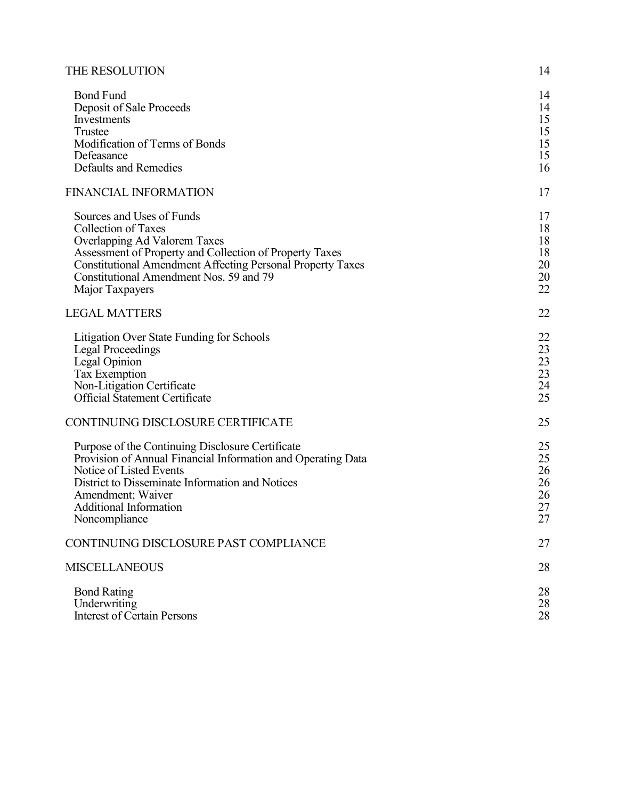| THE RESOLUTION |  |
|----------------|--|
|----------------|--|

| <b>Bond Fund</b><br>Deposit of Sale Proceeds<br><b>Investments</b><br>Trustee<br>Modification of Terms of Bonds<br>Defeasance<br><b>Defaults and Remedies</b>                                                                                                                  | 14<br>14<br>15<br>15<br>15<br>15<br>16 |
|--------------------------------------------------------------------------------------------------------------------------------------------------------------------------------------------------------------------------------------------------------------------------------|----------------------------------------|
| <b>FINANCIAL INFORMATION</b>                                                                                                                                                                                                                                                   | 17                                     |
| Sources and Uses of Funds<br>Collection of Taxes<br>Overlapping Ad Valorem Taxes<br>Assessment of Property and Collection of Property Taxes<br><b>Constitutional Amendment Affecting Personal Property Taxes</b><br>Constitutional Amendment Nos. 59 and 79<br>Major Taxpayers | 17<br>18<br>18<br>18<br>20<br>20<br>22 |
| <b>LEGAL MATTERS</b>                                                                                                                                                                                                                                                           | 22                                     |
| Litigation Over State Funding for Schools<br><b>Legal Proceedings</b><br>Legal Opinion<br>Tax Exemption<br>Non-Litigation Certificate<br><b>Official Statement Certificate</b>                                                                                                 | 22<br>23<br>23<br>23<br>24<br>25       |
| CONTINUING DISCLOSURE CERTIFICATE                                                                                                                                                                                                                                              | 25                                     |
| Purpose of the Continuing Disclosure Certificate<br>Provision of Annual Financial Information and Operating Data<br>Notice of Listed Events<br>District to Disseminate Information and Notices<br>Amendment; Waiver<br><b>Additional Information</b><br>Noncompliance          | 25<br>25<br>26<br>26<br>26<br>27<br>27 |
| CONTINUING DISCLOSURE PAST COMPLIANCE                                                                                                                                                                                                                                          | 27                                     |
| <b>MISCELLANEOUS</b>                                                                                                                                                                                                                                                           | 28                                     |
| <b>Bond Rating</b><br>Underwriting<br><b>Interest of Certain Persons</b>                                                                                                                                                                                                       | 28<br>28<br>28                         |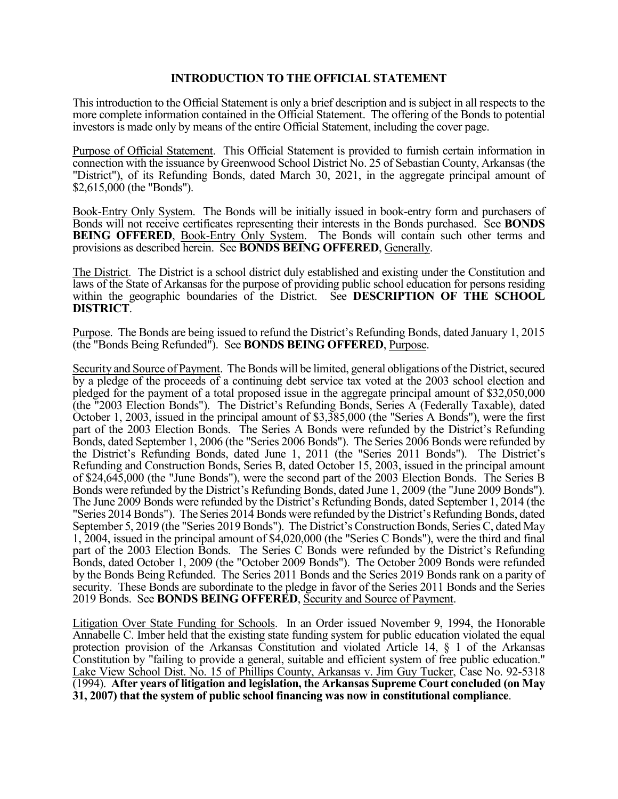# INTRODUCTION TO THE OFFICIAL STATEMENT

This introduction to the Official Statement is only a brief description and is subject in all respects to the more complete information contained in the Official Statement. The offering of the Bonds to potential investors is made only by means of the entire Official Statement, including the cover page.

Purpose of Official Statement. This Official Statement is provided to furnish certain information in connection with the issuance by Greenwood School District No. 25 of Sebastian County, Arkansas (the "District"), of its Refunding Bonds, dated March 30, 2021, in the aggregate principal amount of \$2,615,000 (the "Bonds").

Book-Entry Only System. The Bonds will be initially issued in book-entry form and purchasers of Bonds will not receive certificates representing their interests in the Bonds purchased. See BONDS BEING OFFERED, Book-Entry Only System. The Bonds will contain such other terms and provisions as described herein. See BONDS BEING OFFERED, Generally.

The District. The District is a school district duly established and existing under the Constitution and laws of the State of Arkansas for the purpose of providing public school education for persons residing within the geographic boundaries of the District. See **DESCRIPTION OF THE SCHOOL** DISTRICT.

Purpose. The Bonds are being issued to refund the District's Refunding Bonds, dated January 1, 2015 (the "Bonds Being Refunded"). See BONDS BEING OFFERED, Purpose.

Security and Source of Payment. The Bonds will be limited, general obligations of the District, secured by a pledge of the proceeds of a continuing debt service tax voted at the 2003 school election and pledged for the payment of a total proposed issue in the aggregate principal amount of \$32,050,000 (the "2003 Election Bonds"). The District's Refunding Bonds, Series A (Federally Taxable), dated October 1, 2003, issued in the principal amount of \$3,385,000 (the "Series A Bonds"), were the first part of the 2003 Election Bonds. The Series A Bonds were refunded by the District's Refunding Bonds, dated September 1, 2006 (the "Series 2006 Bonds"). The Series 2006 Bonds were refunded by the District's Refunding Bonds, dated June 1, 2011 (the "Series 2011 Bonds"). The District's Refunding and Construction Bonds, Series B, dated October 15, 2003, issued in the principal amount of \$24,645,000 (the "June Bonds"), were the second part of the 2003 Election Bonds. The Series B Bonds were refunded by the District's Refunding Bonds, dated June 1, 2009 (the "June 2009 Bonds"). The June 2009 Bonds were refunded by the District's Refunding Bonds, dated September 1, 2014 (the "Series 2014 Bonds"). The Series 2014 Bonds were refunded by the District's Refunding Bonds, dated September 5, 2019 (the "Series 2019 Bonds"). The District's Construction Bonds, Series C, dated May 1, 2004, issued in the principal amount of \$4,020,000 (the "Series C Bonds"), were the third and final part of the 2003 Election Bonds. The Series C Bonds were refunded by the District's Refunding Bonds, dated October 1, 2009 (the "October 2009 Bonds"). The October 2009 Bonds were refunded by the Bonds Being Refunded. The Series 2011 Bonds and the Series 2019 Bonds rank on a parity of security. These Bonds are subordinate to the pledge in favor of the Series 2011 Bonds and the Series 2019 Bonds. See **BONDS BEING OFFERED**, Security and Source of Payment.

Litigation Over State Funding for Schools. In an Order issued November 9, 1994, the Honorable Annabelle C. Imber held that the existing state funding system for public education violated the equal protection provision of the Arkansas Constitution and violated Article 14, § 1 of the Arkansas Constitution by "failing to provide a general, suitable and efficient system of free public education." Lake View School Dist. No. 15 of Phillips County, Arkansas v. Jim Guy Tucker, Case No. 92-5318 (1994). After years of litigation and legislation, the Arkansas Supreme Court concluded (on May 31, 2007) that the system of public school financing was now in constitutional compliance.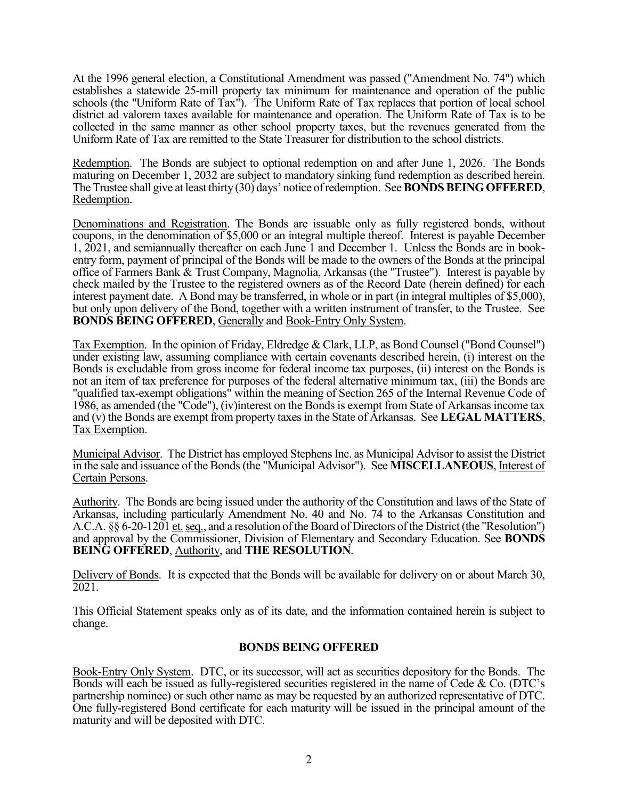At the 1996 general election, a Constitutional Amendment was passed ("Amendment No. 74") which establishes a statewide 25-mill property tax minimum for maintenance and operation of the public schools (the "Uniform Rate of Tax"). The Uniform Rate of Tax replaces that portion of local school district ad valorem taxes available for maintenance and operation. The Uniform Rate of Tax is to be collected in the same manner as other school property taxes, but the revenues generated from the Uniform Rate of Tax are remitted to the State Treasurer for distribution to the school districts.

Redemption. The Bonds are subject to optional redemption on and after June 1, 2026. The Bonds maturing on December 1, 2032 are subject to mandatory sinking fund redemption as described herein. The Trustee shall give at least thirty (30) days' notice of redemption. See BONDS BEING OFFERED, Redemption.

Denominations and Registration. The Bonds are issuable only as fully registered bonds, without coupons, in the denomination of \$5,000 or an integral multiple thereof. Interest is payable December 1, 2021, and semiannually thereafter on each June 1 and December 1. Unless the Bonds are in bookentry form, payment of principal of the Bonds will be made to the owners of the Bonds at the principal office of Farmers Bank & Trust Company, Magnolia, Arkansas (the "Trustee"). Interest is payable by check mailed by the Trustee to the registered owners as of the Record Date (herein defined) for each interest payment date. A Bond may be transferred, in whole or in part (in integral multiples of \$5,000), but only upon delivery of the Bond, together with a written instrument of transfer, to the Trustee. See BONDS BEING OFFERED, Generally and Book-Entry Only System.

Tax Exemption. In the opinion of Friday, Eldredge & Clark, LLP, as Bond Counsel ("Bond Counsel") under existing law, assuming compliance with certain covenants described herein, (i) interest on the Bonds is excludable from gross income for federal income tax purposes, (ii) interest on the Bonds is not an item of tax preference for purposes of the federal alternative minimum tax, (iii) the Bonds are "qualified tax-exempt obligations" within the meaning of Section 265 of the Internal Revenue Code of 1986, as amended (the "Code"), (iv)interest on the Bonds is exempt from State of Arkansas income tax and (v) the Bonds are exempt from property taxes in the State of Arkansas. See LEGAL MATTERS, Tax Exemption.

Municipal Advisor. The District has employed Stephens Inc. as Municipal Advisor to assist the District in the sale and issuance of the Bonds (the "Municipal Advisor"). See MISCELLANEOUS, Interest of Certain Persons.

Authority. The Bonds are being issued under the authority of the Constitution and laws of the State of Arkansas, including particularly Amendment No. 40 and No. 74 to the Arkansas Constitution and A.C.A. §§ 6-20-1201 et. seq., and a resolution of the Board of Directors of the District (the "Resolution") and approval by the Commissioner, Division of Elementary and Secondary Education. See BONDS BEING OFFERED, Authority, and THE RESOLUTION.

Delivery of Bonds. It is expected that the Bonds will be available for delivery on or about March 30, 2021.

This Official Statement speaks only as of its date, and the information contained herein is subject to change.

# BONDS BEING OFFERED

Book-Entry Only System. DTC, or its successor, will act as securities depository for the Bonds. The Bonds will each be issued as fully-registered securities registered in the name of Cede & Co. (DTC's partnership nominee) or such other name as may be requested by an authorized representative of DTC. One fully-registered Bond certificate for each maturity will be issued in the principal amount of the maturity and will be deposited with DTC.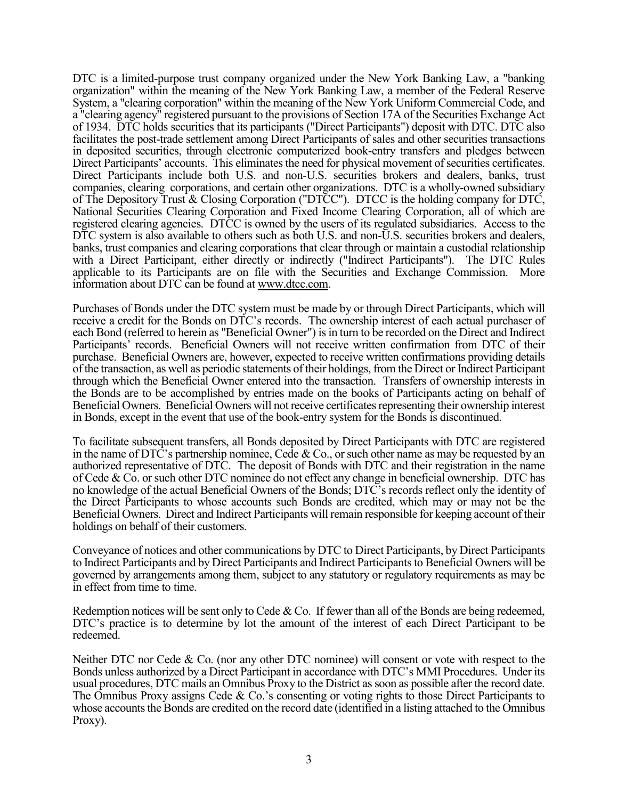DTC is a limited-purpose trust company organized under the New York Banking Law, a "banking organization" within the meaning of the New York Banking Law, a member of the Federal Reserve System, a "clearing corporation" within the meaning of the New York Uniform Commercial Code, and a "clearing agency" registered pursuant to the provisions of Section 17A of the Securities Exchange Act of 1934. DTC holds securities that its participants ("Direct Participants") deposit with DTC. DTC also facilitates the post-trade settlement among Direct Participants of sales and other securities transactions in deposited securities, through electronic computerized book-entry transfers and pledges between Direct Participants' accounts. This eliminates the need for physical movement of securities certificates. Direct Participants include both U.S. and non-U.S. securities brokers and dealers, banks, trust companies, clearing corporations, and certain other organizations. DTC is a wholly-owned subsidiary of The Depository Trust & Closing Corporation ("DTCC"). DTCC is the holding company for DTC, National Securities Clearing Corporation and Fixed Income Clearing Corporation, all of which are registered clearing agencies. DTCC is owned by the users of its regulated subsidiaries. Access to the DTC system is also available to others such as both U.S. and non-U.S. securities brokers and dealers, banks, trust companies and clearing corporations that clear through or maintain a custodial relationship with a Direct Participant, either directly or indirectly ("Indirect Participants"). The DTC Rules applicable to its Participants are on file with the Securities and Exchange Commission. More information about DTC can be found at www.dtcc.com.

Purchases of Bonds under the DTC system must be made by or through Direct Participants, which will receive a credit for the Bonds on DTC's records. The ownership interest of each actual purchaser of each Bond (referred to herein as "Beneficial Owner") is in turn to be recorded on the Direct and Indirect Participants' records. Beneficial Owners will not receive written confirmation from DTC of their purchase. Beneficial Owners are, however, expected to receive written confirmations providing details of the transaction, as well as periodic statements of their holdings, from the Direct or Indirect Participant through which the Beneficial Owner entered into the transaction. Transfers of ownership interests in the Bonds are to be accomplished by entries made on the books of Participants acting on behalf of Beneficial Owners. Beneficial Owners will not receive certificates representing their ownership interest in Bonds, except in the event that use of the book-entry system for the Bonds is discontinued.

To facilitate subsequent transfers, all Bonds deposited by Direct Participants with DTC are registered in the name of DTC's partnership nominee, Cede & Co., or such other name as may be requested by an authorized representative of DTC. The deposit of Bonds with DTC and their registration in the name of Cede & Co. or such other DTC nominee do not effect any change in beneficial ownership. DTC has no knowledge of the actual Beneficial Owners of the Bonds; DTC's records reflect only the identity of the Direct Participants to whose accounts such Bonds are credited, which may or may not be the Beneficial Owners. Direct and Indirect Participants will remain responsible for keeping account of their holdings on behalf of their customers.

Conveyance of notices and other communications by DTC to Direct Participants, by Direct Participants to Indirect Participants and by Direct Participants and Indirect Participants to Beneficial Owners will be governed by arrangements among them, subject to any statutory or regulatory requirements as may be in effect from time to time.

Redemption notices will be sent only to Cede & Co. If fewer than all of the Bonds are being redeemed, DTC's practice is to determine by lot the amount of the interest of each Direct Participant to be redeemed.

Neither DTC nor Cede & Co. (nor any other DTC nominee) will consent or vote with respect to the Bonds unless authorized by a Direct Participant in accordance with DTC's MMI Procedures. Under its usual procedures, DTC mails an Omnibus Proxy to the District as soon as possible after the record date. The Omnibus Proxy assigns Cede & Co.'s consenting or voting rights to those Direct Participants to whose accounts the Bonds are credited on the record date (identified in a listing attached to the Omnibus Proxy).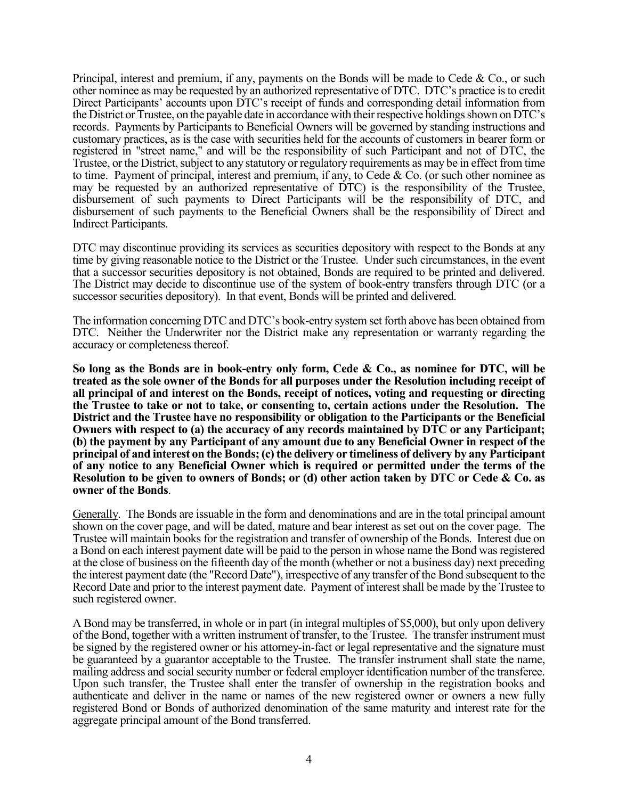Principal, interest and premium, if any, payments on the Bonds will be made to Cede  $\&$  Co., or such other nominee as may be requested by an authorized representative of DTC. DTC's practice is to credit Direct Participants' accounts upon DTC's receipt of funds and corresponding detail information from the District or Trustee, on the payable date in accordance with their respective holdings shown on DTC's records. Payments by Participants to Beneficial Owners will be governed by standing instructions and customary practices, as is the case with securities held for the accounts of customers in bearer form or registered in "street name," and will be the responsibility of such Participant and not of DTC, the Trustee, or the District, subject to any statutory or regulatory requirements as may be in effect from time to time. Payment of principal, interest and premium, if any, to Cede & Co. (or such other nominee as may be requested by an authorized representative of DTC) is the responsibility of the Trustee, disbursement of such payments to Direct Participants will be the responsibility of DTC, and disbursement of such payments to the Beneficial Owners shall be the responsibility of Direct and Indirect Participants.

DTC may discontinue providing its services as securities depository with respect to the Bonds at any time by giving reasonable notice to the District or the Trustee. Under such circumstances, in the event that a successor securities depository is not obtained, Bonds are required to be printed and delivered. The District may decide to discontinue use of the system of book-entry transfers through DTC (or a successor securities depository). In that event, Bonds will be printed and delivered.

The information concerning DTC and DTC's book-entry system set forth above has been obtained from DTC. Neither the Underwriter nor the District make any representation or warranty regarding the accuracy or completeness thereof.

So long as the Bonds are in book-entry only form, Cede & Co., as nominee for DTC, will be treated as the sole owner of the Bonds for all purposes under the Resolution including receipt of all principal of and interest on the Bonds, receipt of notices, voting and requesting or directing the Trustee to take or not to take, or consenting to, certain actions under the Resolution. The District and the Trustee have no responsibility or obligation to the Participants or the Beneficial Owners with respect to (a) the accuracy of any records maintained by DTC or any Participant; (b) the payment by any Participant of any amount due to any Beneficial Owner in respect of the principal of and interest on the Bonds; (c) the delivery or timeliness of delivery by any Participant of any notice to any Beneficial Owner which is required or permitted under the terms of the Resolution to be given to owners of Bonds; or (d) other action taken by DTC or Cede & Co. as owner of the Bonds.

Generally. The Bonds are issuable in the form and denominations and are in the total principal amount shown on the cover page, and will be dated, mature and bear interest as set out on the cover page. The Trustee will maintain books for the registration and transfer of ownership of the Bonds. Interest due on a Bond on each interest payment date will be paid to the person in whose name the Bond was registered at the close of business on the fifteenth day of the month (whether or not a business day) next preceding the interest payment date (the "Record Date"), irrespective of any transfer of the Bond subsequent to the Record Date and prior to the interest payment date. Payment of interest shall be made by the Trustee to such registered owner.

A Bond may be transferred, in whole or in part (in integral multiples of \$5,000), but only upon delivery of the Bond, together with a written instrument of transfer, to the Trustee. The transfer instrument must be signed by the registered owner or his attorney-in-fact or legal representative and the signature must be guaranteed by a guarantor acceptable to the Trustee. The transfer instrument shall state the name, mailing address and social security number or federal employer identification number of the transferee. Upon such transfer, the Trustee shall enter the transfer of ownership in the registration books and authenticate and deliver in the name or names of the new registered owner or owners a new fully registered Bond or Bonds of authorized denomination of the same maturity and interest rate for the aggregate principal amount of the Bond transferred.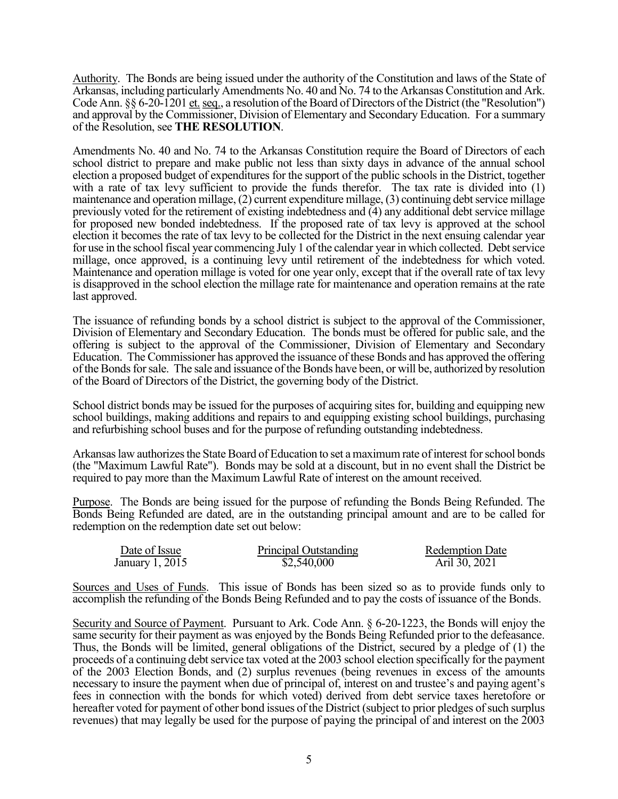Authority. The Bonds are being issued under the authority of the Constitution and laws of the State of Arkansas, including particularly Amendments No. 40 and No. 74 to the Arkansas Constitution and Ark. Code Ann. §§ 6-20-1201 et. seq., a resolution of the Board of Directors of the District (the "Resolution") and approval by the Commissioner, Division of Elementary and Secondary Education. For a summary of the Resolution, see THE RESOLUTION.

Amendments No. 40 and No. 74 to the Arkansas Constitution require the Board of Directors of each school district to prepare and make public not less than sixty days in advance of the annual school election a proposed budget of expenditures for the support of the public schools in the District, together with a rate of tax levy sufficient to provide the funds therefor. The tax rate is divided into  $(1)$ maintenance and operation millage, (2) current expenditure millage, (3) continuing debt service millage previously voted for the retirement of existing indebtedness and (4) any additional debt service millage for proposed new bonded indebtedness. If the proposed rate of tax levy is approved at the school election it becomes the rate of tax levy to be collected for the District in the next ensuing calendar year for use in the school fiscal year commencing July 1 of the calendar year in which collected. Debt service millage, once approved, is a continuing levy until retirement of the indebtedness for which voted. Maintenance and operation millage is voted for one year only, except that if the overall rate of tax levy is disapproved in the school election the millage rate for maintenance and operation remains at the rate last approved.

The issuance of refunding bonds by a school district is subject to the approval of the Commissioner, Division of Elementary and Secondary Education. The bonds must be offered for public sale, and the offering is subject to the approval of the Commissioner, Division of Elementary and Secondary Education. The Commissioner has approved the issuance of these Bonds and has approved the offering of the Bonds for sale. The sale and issuance of the Bonds have been, or will be, authorized by resolution of the Board of Directors of the District, the governing body of the District.

School district bonds may be issued for the purposes of acquiring sites for, building and equipping new school buildings, making additions and repairs to and equipping existing school buildings, purchasing and refurbishing school buses and for the purpose of refunding outstanding indebtedness.

Arkansas law authorizes the State Board of Education to set a maximum rate of interest for school bonds (the "Maximum Lawful Rate"). Bonds may be sold at a discount, but in no event shall the District be required to pay more than the Maximum Lawful Rate of interest on the amount received.

Purpose. The Bonds are being issued for the purpose of refunding the Bonds Being Refunded. The Bonds Being Refunded are dated, are in the outstanding principal amount and are to be called for redemption on the redemption date set out below:

| Date of Issue   | Principal Outstanding | <b>Redemption Date</b> |
|-----------------|-----------------------|------------------------|
| January 1, 2015 | \$2,540,000           | Aril 30, 2021          |

Sources and Uses of Funds. This issue of Bonds has been sized so as to provide funds only to accomplish the refunding of the Bonds Being Refunded and to pay the costs of issuance of the Bonds.

Security and Source of Payment. Pursuant to Ark. Code Ann. § 6-20-1223, the Bonds will enjoy the same security for their payment as was enjoyed by the Bonds Being Refunded prior to the defeasance. Thus, the Bonds will be limited, general obligations of the District, secured by a pledge of (1) the proceeds of a continuing debt service tax voted at the 2003 school election specifically for the payment of the 2003 Election Bonds, and (2) surplus revenues (being revenues in excess of the amounts necessary to insure the payment when due of principal of, interest on and trustee's and paying agent's fees in connection with the bonds for which voted) derived from debt service taxes heretofore or hereafter voted for payment of other bond issues of the District (subject to prior pledges of such surplus revenues) that may legally be used for the purpose of paying the principal of and interest on the 2003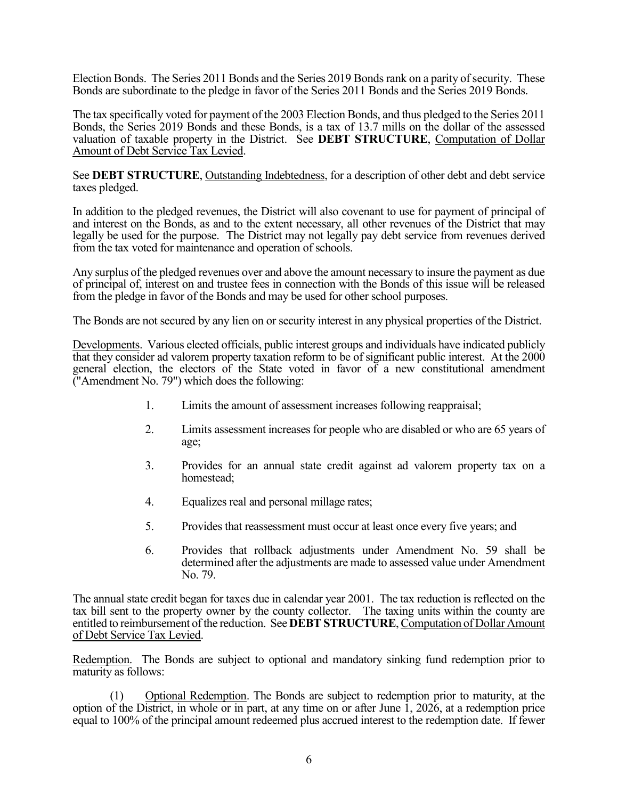Election Bonds. The Series 2011 Bonds and the Series 2019 Bonds rank on a parity of security. These Bonds are subordinate to the pledge in favor of the Series 2011 Bonds and the Series 2019 Bonds.

The tax specifically voted for payment of the 2003 Election Bonds, and thus pledged to the Series 2011 Bonds, the Series 2019 Bonds and these Bonds, is a tax of 13.7 mills on the dollar of the assessed valuation of taxable property in the District. See DEBT STRUCTURE, Computation of Dollar Amount of Debt Service Tax Levied.

See DEBT STRUCTURE, Outstanding Indebtedness, for a description of other debt and debt service taxes pledged.

In addition to the pledged revenues, the District will also covenant to use for payment of principal of and interest on the Bonds, as and to the extent necessary, all other revenues of the District that may legally be used for the purpose. The District may not legally pay debt service from revenues derived from the tax voted for maintenance and operation of schools.

Any surplus of the pledged revenues over and above the amount necessary to insure the payment as due of principal of, interest on and trustee fees in connection with the Bonds of this issue will be released from the pledge in favor of the Bonds and may be used for other school purposes.

The Bonds are not secured by any lien on or security interest in any physical properties of the District.

Developments. Various elected officials, public interest groups and individuals have indicated publicly that they consider ad valorem property taxation reform to be of significant public interest. At the 2000 general election, the electors of the State voted in favor of a new constitutional amendment ("Amendment No. 79") which does the following:

- 1. Limits the amount of assessment increases following reappraisal;
- 2. Limits assessment increases for people who are disabled or who are 65 years of age;
- 3. Provides for an annual state credit against ad valorem property tax on a homestead;
- 4. Equalizes real and personal millage rates;
- 5. Provides that reassessment must occur at least once every five years; and
- 6. Provides that rollback adjustments under Amendment No. 59 shall be determined after the adjustments are made to assessed value under Amendment No. 79.

The annual state credit began for taxes due in calendar year 2001. The tax reduction is reflected on the tax bill sent to the property owner by the county collector. The taxing units within the county are entitled to reimbursement of the reduction. See DEBT STRUCTURE, Computation of Dollar Amount of Debt Service Tax Levied.

Redemption. The Bonds are subject to optional and mandatory sinking fund redemption prior to maturity as follows:

(1) Optional Redemption. The Bonds are subject to redemption prior to maturity, at the option of the District, in whole or in part, at any time on or after June 1, 2026, at a redemption price equal to 100% of the principal amount redeemed plus accrued interest to the redemption date. If fewer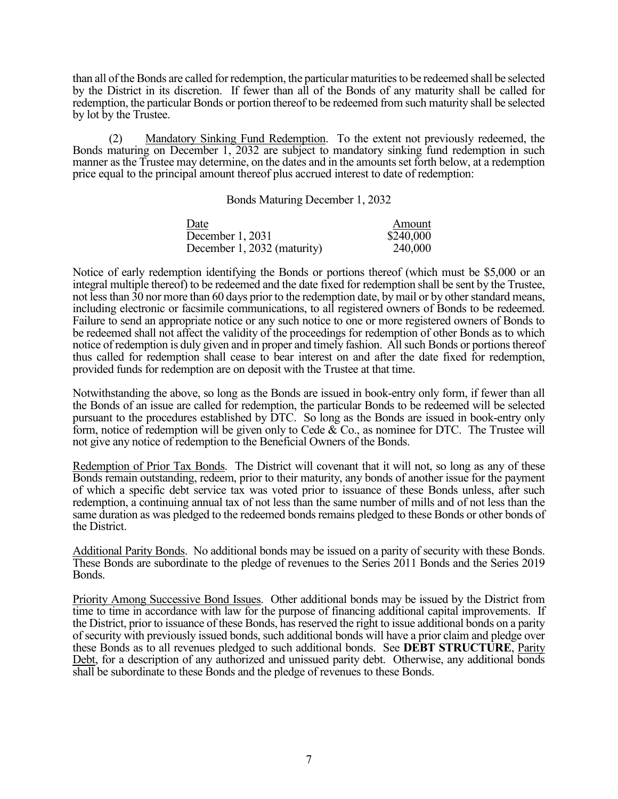than all of the Bonds are called for redemption, the particular maturities to be redeemed shall be selected by the District in its discretion. If fewer than all of the Bonds of any maturity shall be called for redemption, the particular Bonds or portion thereof to be redeemed from such maturity shall be selected by lot by the Trustee.

(2) Mandatory Sinking Fund Redemption. To the extent not previously redeemed, the Bonds maturing on December 1, 2032 are subject to mandatory sinking fund redemption in such manner as the Trustee may determine, on the dates and in the amounts set forth below, at a redemption price equal to the principal amount thereof plus accrued interest to date of redemption:

Bonds Maturing December 1, 2032

| Date                        | Amount    |
|-----------------------------|-----------|
| December 1, 2031            | \$240,000 |
| December 1, 2032 (maturity) | 240,000   |

Notice of early redemption identifying the Bonds or portions thereof (which must be \$5,000 or an integral multiple thereof) to be redeemed and the date fixed for redemption shall be sent by the Trustee, not less than 30 nor more than 60 days prior to the redemption date, by mail or by other standard means, including electronic or facsimile communications, to all registered owners of Bonds to be redeemed. Failure to send an appropriate notice or any such notice to one or more registered owners of Bonds to be redeemed shall not affect the validity of the proceedings for redemption of other Bonds as to which notice of redemption is duly given and in proper and timely fashion. All such Bonds or portions thereof thus called for redemption shall cease to bear interest on and after the date fixed for redemption, provided funds for redemption are on deposit with the Trustee at that time.

Notwithstanding the above, so long as the Bonds are issued in book-entry only form, if fewer than all the Bonds of an issue are called for redemption, the particular Bonds to be redeemed will be selected pursuant to the procedures established by DTC. So long as the Bonds are issued in book-entry only form, notice of redemption will be given only to Cede & Co., as nominee for DTC. The Trustee will not give any notice of redemption to the Beneficial Owners of the Bonds.

Redemption of Prior Tax Bonds. The District will covenant that it will not, so long as any of these Bonds remain outstanding, redeem, prior to their maturity, any bonds of another issue for the payment of which a specific debt service tax was voted prior to issuance of these Bonds unless, after such redemption, a continuing annual tax of not less than the same number of mills and of not less than the same duration as was pledged to the redeemed bonds remains pledged to these Bonds or other bonds of the District.

Additional Parity Bonds. No additional bonds may be issued on a parity of security with these Bonds. These Bonds are subordinate to the pledge of revenues to the Series 2011 Bonds and the Series 2019 Bonds.

Priority Among Successive Bond Issues. Other additional bonds may be issued by the District from time to time in accordance with law for the purpose of financing additional capital improvements. If the District, prior to issuance of these Bonds, has reserved the right to issue additional bonds on a parity of security with previously issued bonds, such additional bonds will have a prior claim and pledge over these Bonds as to all revenues pledged to such additional bonds. See DEBT STRUCTURE, Parity Debt, for a description of any authorized and unissued parity debt. Otherwise, any additional bonds shall be subordinate to these Bonds and the pledge of revenues to these Bonds.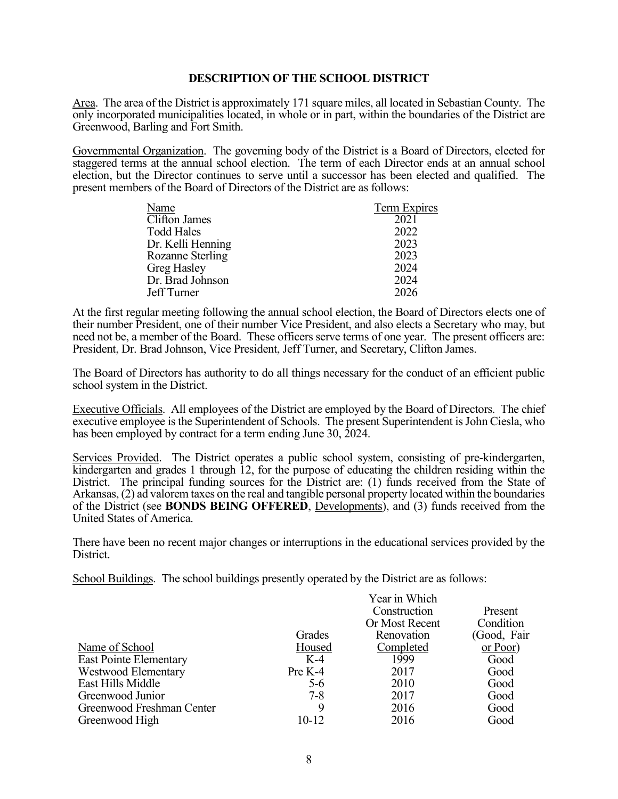# DESCRIPTION OF THE SCHOOL DISTRICT

Area. The area of the District is approximately 171 square miles, all located in Sebastian County. The only incorporated municipalities located, in whole or in part, within the boundaries of the District are Greenwood, Barling and Fort Smith.

Governmental Organization. The governing body of the District is a Board of Directors, elected for staggered terms at the annual school election. The term of each Director ends at an annual school election, but the Director continues to serve until a successor has been elected and qualified. The present members of the Board of Directors of the District are as follows:

| Term Expires |
|--------------|
| 2021         |
| 2022         |
| 2023         |
| 2023         |
| 2024         |
| 2024         |
| 2026         |
|              |

At the first regular meeting following the annual school election, the Board of Directors elects one of their number President, one of their number Vice President, and also elects a Secretary who may, but need not be, a member of the Board. These officers serve terms of one year. The present officers are: President, Dr. Brad Johnson, Vice President, Jeff Turner, and Secretary, Clifton James.

The Board of Directors has authority to do all things necessary for the conduct of an efficient public school system in the District.

Executive Officials. All employees of the District are employed by the Board of Directors. The chief executive employee is the Superintendent of Schools. The present Superintendent is John Ciesla, who has been employed by contract for a term ending June 30, 2024.

Services Provided. The District operates a public school system, consisting of pre-kindergarten, kindergarten and grades 1 through 12, for the purpose of educating the children residing within the District. The principal funding sources for the District are: (1) funds received from the State of Arkansas, (2) ad valorem taxes on the real and tangible personal property located within the boundaries of the District (see BONDS BEING OFFERED, Developments), and (3) funds received from the United States of America.

There have been no recent major changes or interruptions in the educational services provided by the District.

School Buildings. The school buildings presently operated by the District are as follows:

|                               |         | Year in Which  |             |
|-------------------------------|---------|----------------|-------------|
|                               |         | Construction   | Present     |
|                               |         | Or Most Recent | Condition   |
|                               | Grades  | Renovation     | (Good, Fair |
| Name of School                | Housed  | Completed      | $or Poor$ ) |
| <b>East Pointe Elementary</b> | $K-4$   | 1999           | Good        |
| Westwood Elementary           | Pre K-4 | 2017           | Good        |
| East Hills Middle             | $5-6$   | 2010           | Good        |
| Greenwood Junior              | $7 - 8$ | 2017           | Good        |
| Greenwood Freshman Center     | 9       | 2016           | Good        |
| Greenwood High                | 10-12   | 2016           | Good        |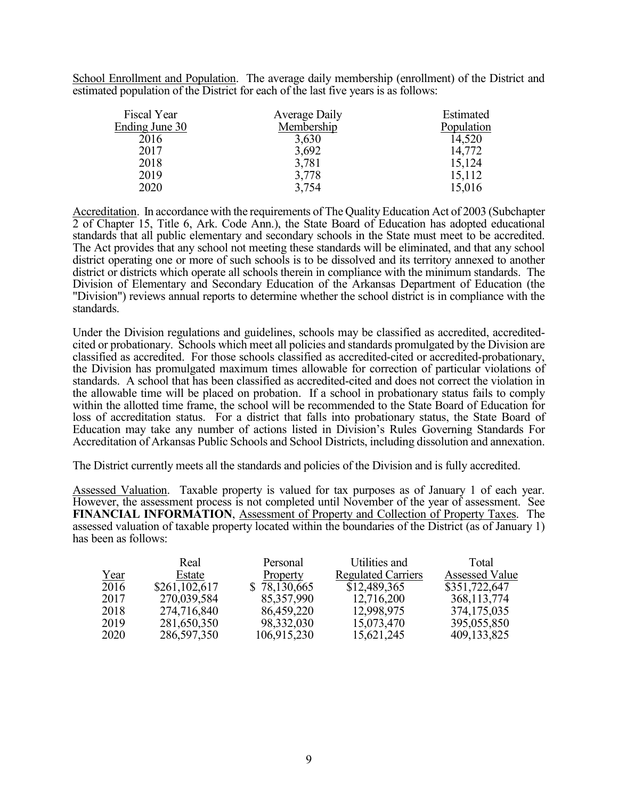School Enrollment and Population. The average daily membership (enrollment) of the District and estimated population of the District for each of the last five years is as follows:

| Fiscal Year    | Average Daily | Estimated  |
|----------------|---------------|------------|
| Ending June 30 | Membership    | Population |
| 2016           | 3,630         | 14,520     |
| 2017           | 3,692         | 14,772     |
| 2018           | 3,781         | 15,124     |
| 2019           | 3,778         | 15,112     |
| 2020           | 3,754         | 15,016     |

Accreditation. In accordance with the requirements of The Quality Education Act of 2003 (Subchapter 2 of Chapter 15, Title 6, Ark. Code Ann.), the State Board of Education has adopted educational standards that all public elementary and secondary schools in the State must meet to be accredited. The Act provides that any school not meeting these standards will be eliminated, and that any school district operating one or more of such schools is to be dissolved and its territory annexed to another district or districts which operate all schools therein in compliance with the minimum standards. The Division of Elementary and Secondary Education of the Arkansas Department of Education (the "Division") reviews annual reports to determine whether the school district is in compliance with the standards.

Under the Division regulations and guidelines, schools may be classified as accredited, accreditedcited or probationary. Schools which meet all policies and standards promulgated by the Division are classified as accredited. For those schools classified as accredited-cited or accredited-probationary, the Division has promulgated maximum times allowable for correction of particular violations of standards. A school that has been classified as accredited-cited and does not correct the violation in the allowable time will be placed on probation. If a school in probationary status fails to comply within the allotted time frame, the school will be recommended to the State Board of Education for loss of accreditation status. For a district that falls into probationary status, the State Board of Education may take any number of actions listed in Division's Rules Governing Standards For Accreditation of Arkansas Public Schools and School Districts, including dissolution and annexation.

The District currently meets all the standards and policies of the Division and is fully accredited.

Assessed Valuation. Taxable property is valued for tax purposes as of January 1 of each year. However, the assessment process is not completed until November of the year of assessment. See FINANCIAL INFORMATION, Assessment of Property and Collection of Property Taxes. The assessed valuation of taxable property located within the boundaries of the District (as of January 1) has been as follows:

|      | Real          | Personal     | Utilities and             | Total                 |
|------|---------------|--------------|---------------------------|-----------------------|
| Year | Estate        | Property     | <b>Regulated Carriers</b> | <b>Assessed Value</b> |
| 2016 | \$261,102,617 | \$78,130,665 | \$12,489,365              | \$351,722,647         |
| 2017 | 270,039,584   | 85, 357, 990 | 12,716,200                | 368, 113, 774         |
| 2018 | 274,716,840   | 86,459,220   | 12,998,975                | 374, 175, 035         |
| 2019 | 281,650,350   | 98,332,030   | 15,073,470                | 395,055,850           |
| 2020 | 286,597,350   | 106,915,230  | 15,621,245                | 409, 133, 825         |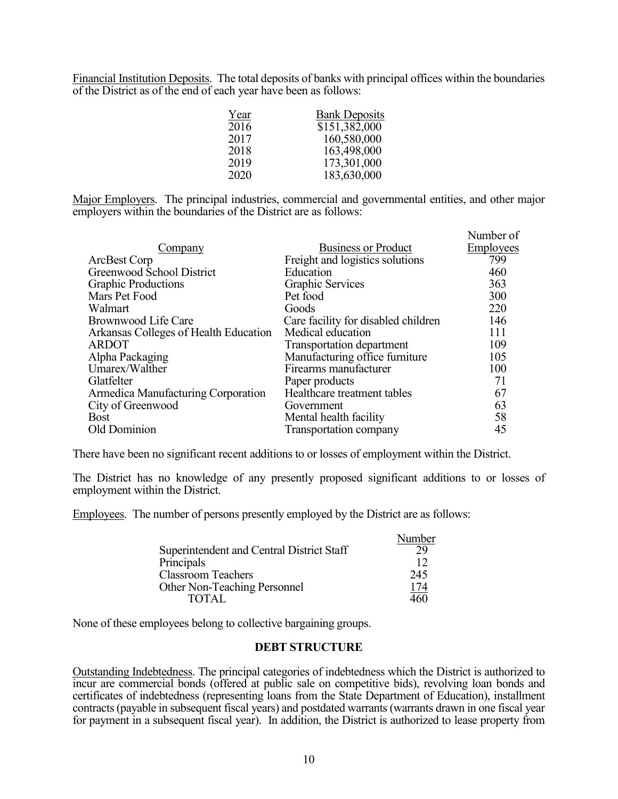Financial Institution Deposits. The total deposits of banks with principal offices within the boundaries of the District as of the end of each year have been as follows:

| Year | <b>Bank Deposits</b> |
|------|----------------------|
| 2016 | \$151,382,000        |
| 2017 | 160,580,000          |
| 2018 | 163,498,000          |
| 2019 | 173,301,000          |
| 2020 | 183,630,000          |

Major Employers. The principal industries, commercial and governmental entities, and other major employers within the boundaries of the District are as follows:

| Company                               | <b>Business or Product</b>          | Number of<br><b>Employees</b> |
|---------------------------------------|-------------------------------------|-------------------------------|
| ArcBest Corp                          | Freight and logistics solutions     | 799                           |
| Greenwood School District             | Education                           | 460                           |
| <b>Graphic Productions</b>            | <b>Graphic Services</b>             | 363                           |
| Mars Pet Food                         | Pet food                            | 300                           |
| Walmart                               | Goods                               | 220                           |
| Brownwood Life Care                   | Care facility for disabled children | 146                           |
| Arkansas Colleges of Health Education | Medical education                   | 111                           |
| <b>ARDOT</b>                          | Transportation department           | 109                           |
| Alpha Packaging                       | Manufacturing office furniture      | 105                           |
| Umarex/Walther                        | Firearms manufacturer               | 100                           |
| Glatfelter                            | Paper products                      | 71                            |
| Armedica Manufacturing Corporation    | Healthcare treatment tables         | 67                            |
| City of Greenwood                     | Government                          | 63                            |
| <b>Bost</b>                           | Mental health facility              | 58                            |
| Old Dominion                          | Transportation company              | 45                            |

There have been no significant recent additions to or losses of employment within the District.

The District has no knowledge of any presently proposed significant additions to or losses of employment within the District.

Employees. The number of persons presently employed by the District are as follows:

|                                           | Number |
|-------------------------------------------|--------|
| Superintendent and Central District Staff | 29     |
| Principals                                | 12     |
| <b>Classroom Teachers</b>                 | 245    |
| <b>Other Non-Teaching Personnel</b>       | 174    |
| <b>TOTAL</b>                              | 460    |

None of these employees belong to collective bargaining groups.

# DEBT STRUCTURE

Outstanding Indebtedness. The principal categories of indebtedness which the District is authorized to incur are commercial bonds (offered at public sale on competitive bids), revolving loan bonds and certificates of indebtedness (representing loans from the State Department of Education), installment contracts (payable in subsequent fiscal years) and postdated warrants (warrants drawn in one fiscal year for payment in a subsequent fiscal year). In addition, the District is authorized to lease property from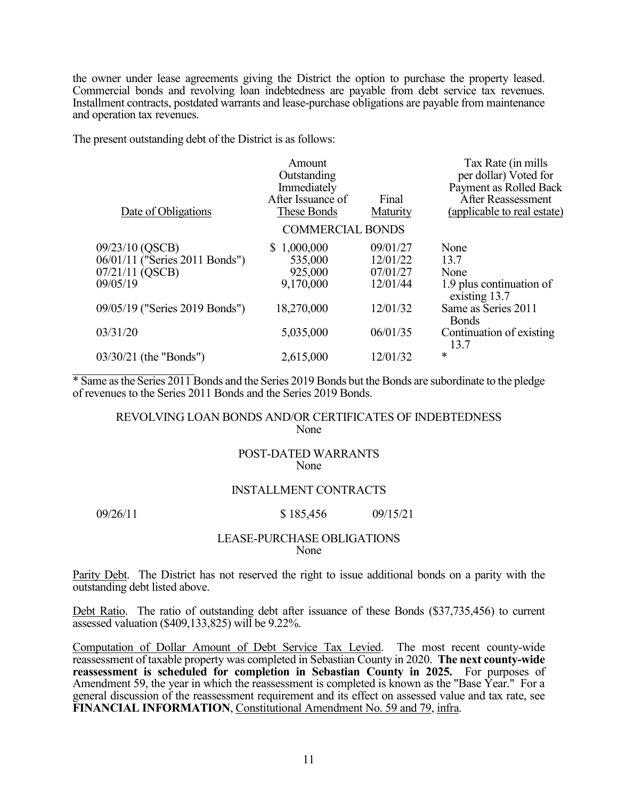the owner under lease agreements giving the District the option to purchase the property leased. Commercial bonds and revolving loan indebtedness are payable from debt service tax revenues. Installment contracts, postdated warrants and lease-purchase obligations are payable from maintenance and operation tax revenues.

The present outstanding debt of the District is as follows:

| Date of Obligations                                                              | Amount<br>Outstanding<br>Immediately<br>After Issuance of<br>These Bonds | Final<br>Maturity                            | Tax Rate (in mills<br>per dollar) Voted for<br>Payment as Rolled Back<br><b>After Reassessment</b><br>(applicable to real estate) |
|----------------------------------------------------------------------------------|--------------------------------------------------------------------------|----------------------------------------------|-----------------------------------------------------------------------------------------------------------------------------------|
|                                                                                  | <b>COMMERCIAL BONDS</b>                                                  |                                              |                                                                                                                                   |
| 09/23/10 (QSCB)<br>06/01/11 ("Series 2011 Bonds")<br>07/21/11 (QSCB)<br>09/05/19 | \$1,000,000<br>535,000<br>925,000<br>9,170,000                           | 09/01/27<br>12/01/22<br>07/01/27<br>12/01/44 | None<br>13.7<br>None<br>1.9 plus continuation of<br>existing 13.7                                                                 |
| 09/05/19 ("Series 2019 Bonds")                                                   | 18,270,000                                                               | 12/01/32                                     | Same as Series 2011<br><b>Bonds</b>                                                                                               |
| 03/31/20                                                                         | 5,035,000                                                                | 06/01/35                                     | Continuation of existing<br>13.7                                                                                                  |
| 03/30/21 (the "Bonds")                                                           | 2,615,000                                                                | 12/01/32                                     | *                                                                                                                                 |

\* Same as the Series 2011 Bonds and the Series 2019 Bonds but the Bonds are subordinate to the pledge of revenues to the Series 2011 Bonds and the Series 2019 Bonds.

#### REVOLVING LOAN BONDS AND/OR CERTIFICATES OF INDEBTEDNESS None

#### POST-DATED WARRANTS None

# INSTALLMENT CONTRACTS

# 09/26/11 \$ 185,456 09/15/21

#### LEASE-PURCHASE OBLIGATIONS None

Parity Debt. The District has not reserved the right to issue additional bonds on a parity with the outstanding debt listed above.

Debt Ratio. The ratio of outstanding debt after issuance of these Bonds (\$37,735,456) to current assessed valuation (\$409,133,825) will be 9.22%.

Computation of Dollar Amount of Debt Service Tax Levied. The most recent county-wide reassessment of taxable property was completed in Sebastian County in 2020. The next county-wide reassessment is scheduled for completion in Sebastian County in 2025. For purposes of Amendment 59, the year in which the reassessment is completed is known as the "Base Year." For a general discussion of the reassessment requirement and its effect on assessed value and tax rate, see FINANCIAL INFORMATION, Constitutional Amendment No. 59 and 79, infra.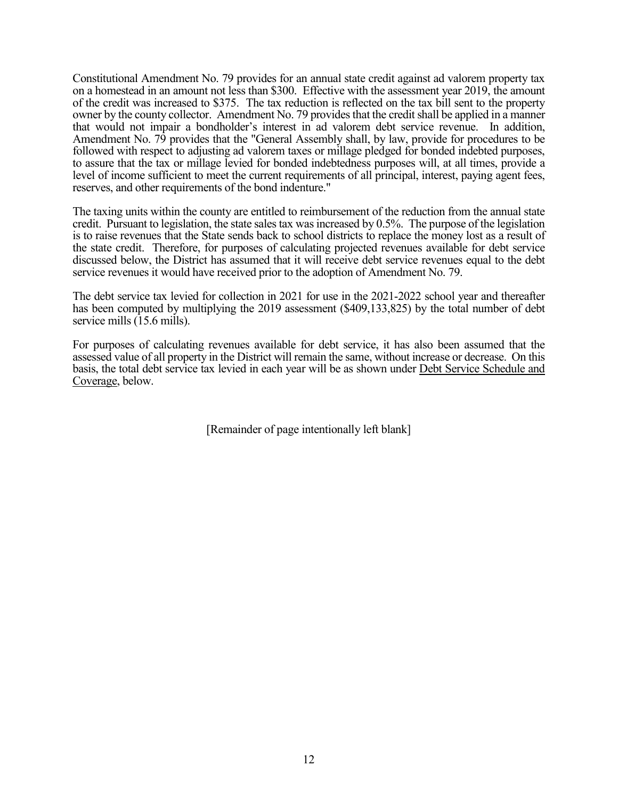Constitutional Amendment No. 79 provides for an annual state credit against ad valorem property tax on a homestead in an amount not less than \$300. Effective with the assessment year 2019, the amount of the credit was increased to \$375. The tax reduction is reflected on the tax bill sent to the property owner by the county collector. Amendment No. 79 provides that the credit shall be applied in a manner that would not impair a bondholder's interest in ad valorem debt service revenue. In addition, Amendment No. 79 provides that the "General Assembly shall, by law, provide for procedures to be followed with respect to adjusting ad valorem taxes or millage pledged for bonded indebted purposes, to assure that the tax or millage levied for bonded indebtedness purposes will, at all times, provide a level of income sufficient to meet the current requirements of all principal, interest, paying agent fees, reserves, and other requirements of the bond indenture."

The taxing units within the county are entitled to reimbursement of the reduction from the annual state credit. Pursuant to legislation, the state sales tax was increased by 0.5%. The purpose of the legislation is to raise revenues that the State sends back to school districts to replace the money lost as a result of the state credit. Therefore, for purposes of calculating projected revenues available for debt service discussed below, the District has assumed that it will receive debt service revenues equal to the debt service revenues it would have received prior to the adoption of Amendment No. 79.

The debt service tax levied for collection in 2021 for use in the 2021-2022 school year and thereafter has been computed by multiplying the 2019 assessment (\$409,133,825) by the total number of debt service mills (15.6 mills).

For purposes of calculating revenues available for debt service, it has also been assumed that the assessed value of all property in the District will remain the same, without increase or decrease. On this basis, the total debt service tax levied in each year will be as shown under Debt Service Schedule and Coverage, below.

[Remainder of page intentionally left blank]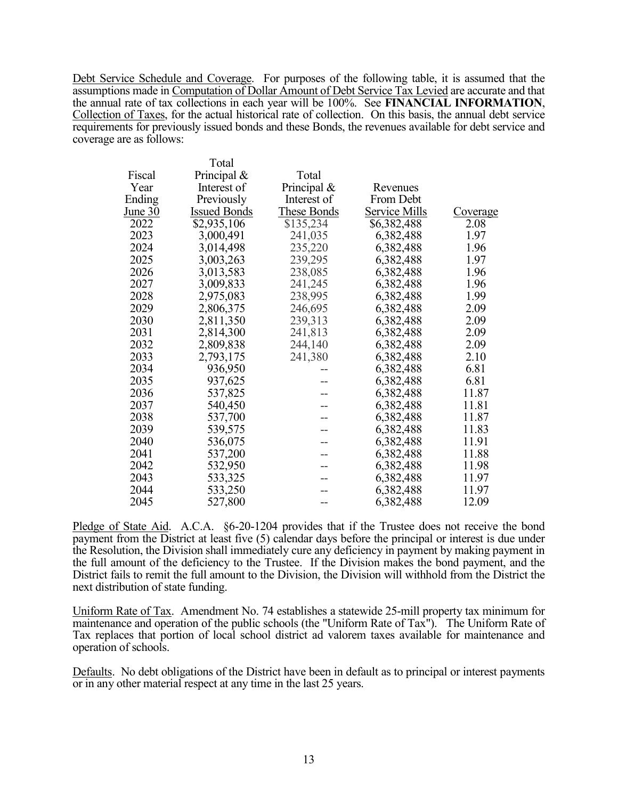Debt Service Schedule and Coverage. For purposes of the following table, it is assumed that the assumptions made in Computation of Dollar Amount of Debt Service Tax Levied are accurate and that the annual rate of tax collections in each year will be 100%. See FINANCIAL INFORMATION, Collection of Taxes, for the actual historical rate of collection. On this basis, the annual debt service requirements for previously issued bonds and these Bonds, the revenues available for debt service and coverage are as follows:

|           | Total               |             |               |          |
|-----------|---------------------|-------------|---------------|----------|
| Fiscal    | Principal &         | Total       |               |          |
| Year      | Interest of         | Principal & | Revenues      |          |
| Ending    | Previously          | Interest of | From Debt     |          |
| June $30$ | <b>Issued Bonds</b> | These Bonds | Service Mills | Coverage |
| 2022      | \$2,935,106         | \$135,234   | \$6,382,488   | 2.08     |
| 2023      | 3,000,491           | 241,035     | 6,382,488     | 1.97     |
| 2024      | 3,014,498           | 235,220     | 6,382,488     | 1.96     |
| 2025      | 3,003,263           | 239,295     | 6,382,488     | 1.97     |
| 2026      | 3,013,583           | 238,085     | 6,382,488     | 1.96     |
| 2027      | 3,009,833           | 241,245     | 6,382,488     | 1.96     |
| 2028      | 2,975,083           | 238,995     | 6,382,488     | 1.99     |
| 2029      | 2,806,375           | 246,695     | 6,382,488     | 2.09     |
| 2030      | 2,811,350           | 239,313     | 6,382,488     | 2.09     |
| 2031      | 2,814,300           | 241,813     | 6,382,488     | 2.09     |
| 2032      | 2,809,838           | 244,140     | 6,382,488     | 2.09     |
| 2033      | 2,793,175           | 241,380     | 6,382,488     | 2.10     |
| 2034      | 936,950             |             | 6,382,488     | 6.81     |
| 2035      | 937,625             |             | 6,382,488     | 6.81     |
| 2036      | 537,825             |             | 6,382,488     | 11.87    |
| 2037      | 540,450             |             | 6,382,488     | 11.81    |
| 2038      | 537,700             |             | 6,382,488     | 11.87    |
| 2039      | 539,575             |             | 6,382,488     | 11.83    |
| 2040      | 536,075             |             | 6,382,488     | 11.91    |
| 2041      | 537,200             |             | 6,382,488     | 11.88    |
| 2042      | 532,950             | --          | 6,382,488     | 11.98    |
| 2043      | 533,325             |             | 6,382,488     | 11.97    |
| 2044      | 533,250             |             | 6,382,488     | 11.97    |
| 2045      | 527,800             | --          | 6,382,488     | 12.09    |

Pledge of State Aid. A.C.A. §6-20-1204 provides that if the Trustee does not receive the bond payment from the District at least five (5) calendar days before the principal or interest is due under the Resolution, the Division shall immediately cure any deficiency in payment by making payment in the full amount of the deficiency to the Trustee. If the Division makes the bond payment, and the District fails to remit the full amount to the Division, the Division will withhold from the District the next distribution of state funding.

Uniform Rate of Tax. Amendment No. 74 establishes a statewide 25-mill property tax minimum for maintenance and operation of the public schools (the "Uniform Rate of Tax"). The Uniform Rate of Tax replaces that portion of local school district ad valorem taxes available for maintenance and operation of schools.

Defaults. No debt obligations of the District have been in default as to principal or interest payments or in any other material respect at any time in the last 25 years.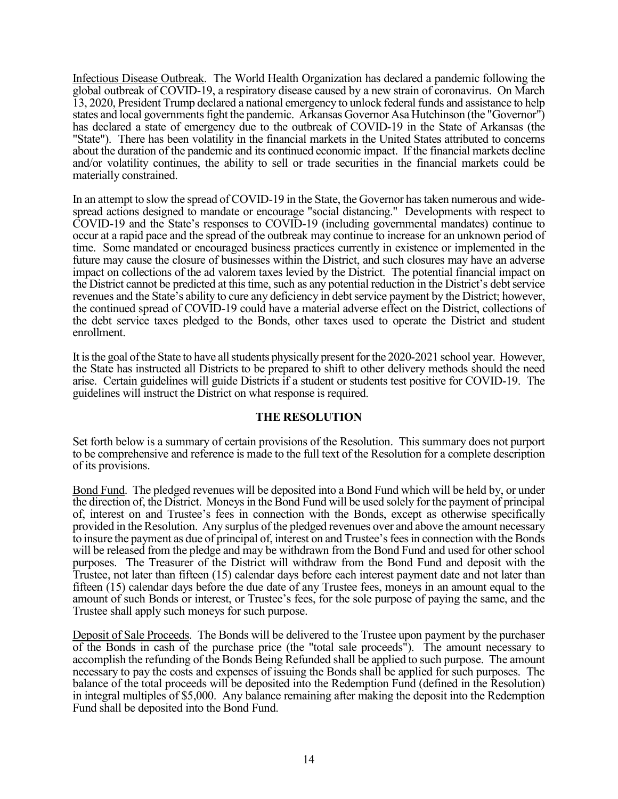Infectious Disease Outbreak. The World Health Organization has declared a pandemic following the global outbreak of COVID-19, a respiratory disease caused by a new strain of coronavirus. On March 13, 2020, President Trump declared a national emergency to unlock federal funds and assistance to help states and local governments fight the pandemic. Arkansas Governor Asa Hutchinson (the "Governor") has declared a state of emergency due to the outbreak of COVID-19 in the State of Arkansas (the "State"). There has been volatility in the financial markets in the United States attributed to concerns about the duration of the pandemic and its continued economic impact. If the financial markets decline and/or volatility continues, the ability to sell or trade securities in the financial markets could be materially constrained.

In an attempt to slow the spread of COVID-19 in the State, the Governor has taken numerous and widespread actions designed to mandate or encourage "social distancing." Developments with respect to COVID-19 and the State's responses to COVID-19 (including governmental mandates) continue to occur at a rapid pace and the spread of the outbreak may continue to increase for an unknown period of time. Some mandated or encouraged business practices currently in existence or implemented in the future may cause the closure of businesses within the District, and such closures may have an adverse impact on collections of the ad valorem taxes levied by the District. The potential financial impact on the District cannot be predicted at this time, such as any potential reduction in the District's debt service revenues and the State's ability to cure any deficiency in debt service payment by the District; however, the continued spread of COVID-19 could have a material adverse effect on the District, collections of the debt service taxes pledged to the Bonds, other taxes used to operate the District and student enrollment.

It is the goal of the State to have all students physically present for the 2020-2021 school year. However, the State has instructed all Districts to be prepared to shift to other delivery methods should the need arise. Certain guidelines will guide Districts if a student or students test positive for COVID-19. The guidelines will instruct the District on what response is required.

# THE RESOLUTION

Set forth below is a summary of certain provisions of the Resolution. This summary does not purport to be comprehensive and reference is made to the full text of the Resolution for a complete description of its provisions.

Bond Fund. The pledged revenues will be deposited into a Bond Fund which will be held by, or under the direction of, the District. Moneys in the Bond Fund will be used solely for the payment of principal of, interest on and Trustee's fees in connection with the Bonds, except as otherwise specifically provided in the Resolution. Any surplus of the pledged revenues over and above the amount necessary to insure the payment as due of principal of, interest on and Trustee's fees in connection with the Bonds will be released from the pledge and may be withdrawn from the Bond Fund and used for other school purposes. The Treasurer of the District will withdraw from the Bond Fund and deposit with the Trustee, not later than fifteen (15) calendar days before each interest payment date and not later than fifteen (15) calendar days before the due date of any Trustee fees, moneys in an amount equal to the amount of such Bonds or interest, or Trustee's fees, for the sole purpose of paying the same, and the Trustee shall apply such moneys for such purpose.

Deposit of Sale Proceeds. The Bonds will be delivered to the Trustee upon payment by the purchaser of the Bonds in cash of the purchase price (the "total sale proceeds"). The amount necessary to accomplish the refunding of the Bonds Being Refunded shall be applied to such purpose. The amount necessary to pay the costs and expenses of issuing the Bonds shall be applied for such purposes. The balance of the total proceeds will be deposited into the Redemption Fund (defined in the Resolution) in integral multiples of \$5,000. Any balance remaining after making the deposit into the Redemption Fund shall be deposited into the Bond Fund.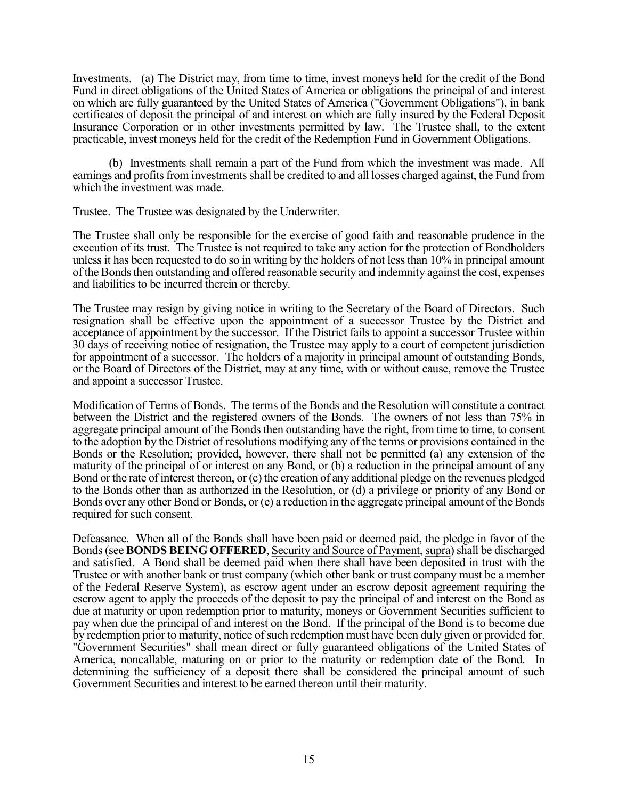Investments. (a) The District may, from time to time, invest moneys held for the credit of the Bond Fund in direct obligations of the United States of America or obligations the principal of and interest on which are fully guaranteed by the United States of America ("Government Obligations"), in bank certificates of deposit the principal of and interest on which are fully insured by the Federal Deposit Insurance Corporation or in other investments permitted by law. The Trustee shall, to the extent practicable, invest moneys held for the credit of the Redemption Fund in Government Obligations.

(b) Investments shall remain a part of the Fund from which the investment was made. All earnings and profits from investments shall be credited to and all losses charged against, the Fund from which the investment was made.

Trustee. The Trustee was designated by the Underwriter.

The Trustee shall only be responsible for the exercise of good faith and reasonable prudence in the execution of its trust. The Trustee is not required to take any action for the protection of Bondholders unless it has been requested to do so in writing by the holders of not less than 10% in principal amount of the Bonds then outstanding and offered reasonable security and indemnity against the cost, expenses and liabilities to be incurred therein or thereby.

The Trustee may resign by giving notice in writing to the Secretary of the Board of Directors. Such resignation shall be effective upon the appointment of a successor Trustee by the District and acceptance of appointment by the successor. If the District fails to appoint a successor Trustee within 30 days of receiving notice of resignation, the Trustee may apply to a court of competent jurisdiction for appointment of a successor. The holders of a majority in principal amount of outstanding Bonds, or the Board of Directors of the District, may at any time, with or without cause, remove the Trustee and appoint a successor Trustee.

Modification of Terms of Bonds. The terms of the Bonds and the Resolution will constitute a contract between the District and the registered owners of the Bonds. The owners of not less than 75% in aggregate principal amount of the Bonds then outstanding have the right, from time to time, to consent to the adoption by the District of resolutions modifying any of the terms or provisions contained in the Bonds or the Resolution; provided, however, there shall not be permitted (a) any extension of the maturity of the principal of or interest on any Bond, or (b) a reduction in the principal amount of any Bond or the rate of interest thereon, or (c) the creation of any additional pledge on the revenues pledged to the Bonds other than as authorized in the Resolution, or (d) a privilege or priority of any Bond or Bonds over any other Bond or Bonds, or (e) a reduction in the aggregate principal amount of the Bonds required for such consent.

Defeasance. When all of the Bonds shall have been paid or deemed paid, the pledge in favor of the Bonds (see BONDS BEING OFFERED, Security and Source of Payment, supra) shall be discharged and satisfied. A Bond shall be deemed paid when there shall have been deposited in trust with the Trustee or with another bank or trust company (which other bank or trust company must be a member of the Federal Reserve System), as escrow agent under an escrow deposit agreement requiring the escrow agent to apply the proceeds of the deposit to pay the principal of and interest on the Bond as due at maturity or upon redemption prior to maturity, moneys or Government Securities sufficient to pay when due the principal of and interest on the Bond. If the principal of the Bond is to become due by redemption prior to maturity, notice of such redemption must have been duly given or provided for. "Government Securities" shall mean direct or fully guaranteed obligations of the United States of America, noncallable, maturing on or prior to the maturity or redemption date of the Bond. In determining the sufficiency of a deposit there shall be considered the principal amount of such Government Securities and interest to be earned thereon until their maturity.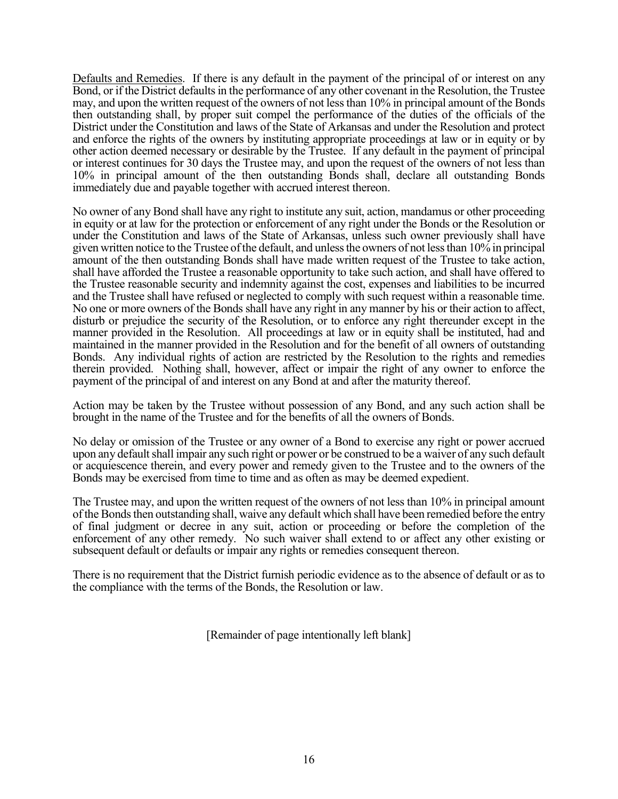Defaults and Remedies. If there is any default in the payment of the principal of or interest on any Bond, or if the District defaults in the performance of any other covenant in the Resolution, the Trustee may, and upon the written request of the owners of not less than 10% in principal amount of the Bonds then outstanding shall, by proper suit compel the performance of the duties of the officials of the District under the Constitution and laws of the State of Arkansas and under the Resolution and protect and enforce the rights of the owners by instituting appropriate proceedings at law or in equity or by other action deemed necessary or desirable by the Trustee. If any default in the payment of principal or interest continues for 30 days the Trustee may, and upon the request of the owners of not less than 10% in principal amount of the then outstanding Bonds shall, declare all outstanding Bonds immediately due and payable together with accrued interest thereon.

No owner of any Bond shall have any right to institute any suit, action, mandamus or other proceeding in equity or at law for the protection or enforcement of any right under the Bonds or the Resolution or under the Constitution and laws of the State of Arkansas, unless such owner previously shall have given written notice to the Trustee of the default, and unless the owners of not less than 10% in principal amount of the then outstanding Bonds shall have made written request of the Trustee to take action, shall have afforded the Trustee a reasonable opportunity to take such action, and shall have offered to the Trustee reasonable security and indemnity against the cost, expenses and liabilities to be incurred and the Trustee shall have refused or neglected to comply with such request within a reasonable time. No one or more owners of the Bonds shall have any right in any manner by his or their action to affect, disturb or prejudice the security of the Resolution, or to enforce any right thereunder except in the manner provided in the Resolution. All proceedings at law or in equity shall be instituted, had and maintained in the manner provided in the Resolution and for the benefit of all owners of outstanding Bonds. Any individual rights of action are restricted by the Resolution to the rights and remedies therein provided. Nothing shall, however, affect or impair the right of any owner to enforce the payment of the principal of and interest on any Bond at and after the maturity thereof.

Action may be taken by the Trustee without possession of any Bond, and any such action shall be brought in the name of the Trustee and for the benefits of all the owners of Bonds.

No delay or omission of the Trustee or any owner of a Bond to exercise any right or power accrued upon any default shall impair any such right or power or be construed to be a waiver of any such default or acquiescence therein, and every power and remedy given to the Trustee and to the owners of the Bonds may be exercised from time to time and as often as may be deemed expedient.

The Trustee may, and upon the written request of the owners of not less than 10% in principal amount of the Bonds then outstanding shall, waive any default which shall have been remedied before the entry of final judgment or decree in any suit, action or proceeding or before the completion of the enforcement of any other remedy. No such waiver shall extend to or affect any other existing or subsequent default or defaults or impair any rights or remedies consequent thereon.

There is no requirement that the District furnish periodic evidence as to the absence of default or as to the compliance with the terms of the Bonds, the Resolution or law.

[Remainder of page intentionally left blank]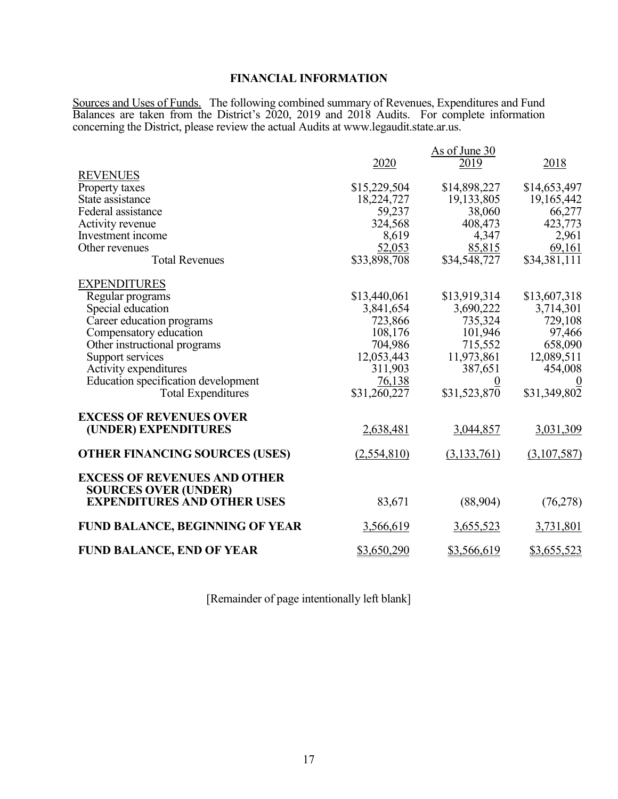# FINANCIAL INFORMATION

Sources and Uses of Funds. The following combined summary of Revenues, Expenditures and Fund Balances are taken from the District's 2020, 2019 and 2018 Audits. For complete information concerning the District, please review the actual Audits at www.legaudit.state.ar.us.

|                                                                   | 2020                   | As of June 30<br>2019  | 2018                   |
|-------------------------------------------------------------------|------------------------|------------------------|------------------------|
| <b>REVENUES</b>                                                   |                        |                        |                        |
| Property taxes                                                    | \$15,229,504           | \$14,898,227           | \$14,653,497           |
| State assistance                                                  | 18,224,727             | 19,133,805             | 19,165,442             |
| Federal assistance                                                | 59,237                 | 38,060                 | 66,277                 |
| Activity revenue                                                  | 324,568                | 408,473                | 423,773                |
| Investment income                                                 | 8,619                  | 4,347                  | 2,961                  |
| Other revenues<br><b>Total Revenues</b>                           | 52,053<br>\$33,898,708 | 85,815<br>\$34,548,727 | 69,161<br>\$34,381,111 |
|                                                                   |                        |                        |                        |
| <b>EXPENDITURES</b>                                               |                        |                        |                        |
| Regular programs                                                  | \$13,440,061           | \$13,919,314           | \$13,607,318           |
| Special education                                                 | 3,841,654              | 3,690,222              | 3,714,301              |
| Career education programs                                         | 723,866                | 735,324                | 729,108                |
| Compensatory education                                            | 108,176                | 101,946                | 97,466                 |
| Other instructional programs                                      | 704,986                | 715,552                | 658,090                |
| Support services                                                  | 12,053,443             | 11,973,861             | 12,089,511             |
| Activity expenditures                                             | 311,903                | 387,651                | 454,008                |
| Education specification development                               | 76,138                 |                        |                        |
| <b>Total Expenditures</b>                                         | \$31,260,227           | \$31,523,870           | \$31,349,802           |
| <b>EXCESS OF REVENUES OVER</b>                                    |                        |                        |                        |
| (UNDER) EXPENDITURES                                              | 2,638,481              | 3,044,857              | 3,031,309              |
| <b>OTHER FINANCING SOURCES (USES)</b>                             | (2,554,810)            | (3,133,761)            | (3,107,587)            |
| <b>EXCESS OF REVENUES AND OTHER</b>                               |                        |                        |                        |
| <b>SOURCES OVER (UNDER)</b><br><b>EXPENDITURES AND OTHER USES</b> | 83,671                 | (88,904)               | (76,278)               |
| FUND BALANCE, BEGINNING OF YEAR                                   | 3,566,619              | 3,655,523              | 3,731,801              |
| <b>FUND BALANCE, END OF YEAR</b>                                  | \$3,650,290            | \$3,566,619            | \$3,655,523            |

[Remainder of page intentionally left blank]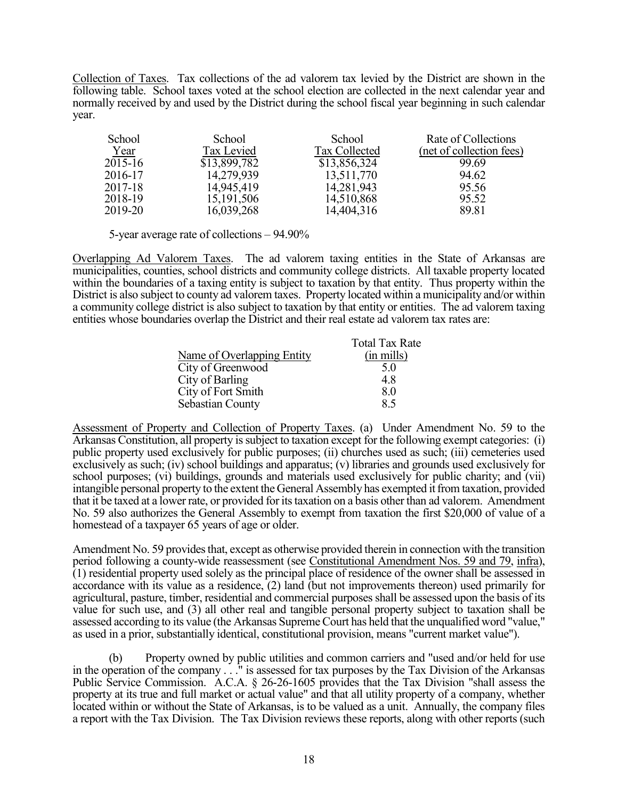Collection of Taxes. Tax collections of the ad valorem tax levied by the District are shown in the following table. School taxes voted at the school election are collected in the next calendar year and normally received by and used by the District during the school fiscal year beginning in such calendar year.

| School  | School       | School               | Rate of Collections      |
|---------|--------------|----------------------|--------------------------|
| Year    | Tax Levied   | <b>Tax Collected</b> | (net of collection fees) |
| 2015-16 | \$13,899,782 | \$13,856,324         | 99.69                    |
| 2016-17 | 14,279,939   | 13,511,770           | 94.62                    |
| 2017-18 | 14,945,419   | 14,281,943           | 95.56                    |
| 2018-19 | 15, 191, 506 | 14,510,868           | 95.52                    |
| 2019-20 | 16,039,268   | 14,404,316           | 89.81                    |

5-year average rate of collections – 94.90%

Overlapping Ad Valorem Taxes. The ad valorem taxing entities in the State of Arkansas are municipalities, counties, school districts and community college districts. All taxable property located within the boundaries of a taxing entity is subject to taxation by that entity. Thus property within the District is also subject to county ad valorem taxes. Property located within a municipality and/or within a community college district is also subject to taxation by that entity or entities. The ad valorem taxing entities whose boundaries overlap the District and their real estate ad valorem tax rates are:

|                            | <b>Total Tax Rate</b> |
|----------------------------|-----------------------|
| Name of Overlapping Entity | $(in \text{ mills})$  |
| City of Greenwood          | 5.0                   |
| City of Barling            | 4.8                   |
| City of Fort Smith         | 8.0                   |
| Sebastian County           | 85                    |

Assessment of Property and Collection of Property Taxes. (a) Under Amendment No. 59 to the Arkansas Constitution, all property is subject to taxation except for the following exempt categories: (i) public property used exclusively for public purposes; (ii) churches used as such; (iii) cemeteries used exclusively as such; (iv) school buildings and apparatus; (v) libraries and grounds used exclusively for school purposes; (vi) buildings, grounds and materials used exclusively for public charity; and (vii) intangible personal property to the extent the General Assembly has exempted it from taxation, provided that it be taxed at a lower rate, or provided for its taxation on a basis other than ad valorem. Amendment No. 59 also authorizes the General Assembly to exempt from taxation the first \$20,000 of value of a homestead of a taxpayer 65 years of age or older.

Amendment No. 59 provides that, except as otherwise provided therein in connection with the transition period following a county-wide reassessment (see Constitutional Amendment Nos. 59 and 79, infra), (1) residential property used solely as the principal place of residence of the owner shall be assessed in accordance with its value as a residence, (2) land (but not improvements thereon) used primarily for agricultural, pasture, timber, residential and commercial purposes shall be assessed upon the basis of its value for such use, and (3) all other real and tangible personal property subject to taxation shall be assessed according to its value (the Arkansas Supreme Court has held that the unqualified word "value," as used in a prior, substantially identical, constitutional provision, means "current market value").

(b) Property owned by public utilities and common carriers and "used and/or held for use in the operation of the company . . ." is assessed for tax purposes by the Tax Division of the Arkansas Public Service Commission. A.C.A. § 26-26-1605 provides that the Tax Division "shall assess the property at its true and full market or actual value" and that all utility property of a company, whether located within or without the State of Arkansas, is to be valued as a unit. Annually, the company files a report with the Tax Division. The Tax Division reviews these reports, along with other reports (such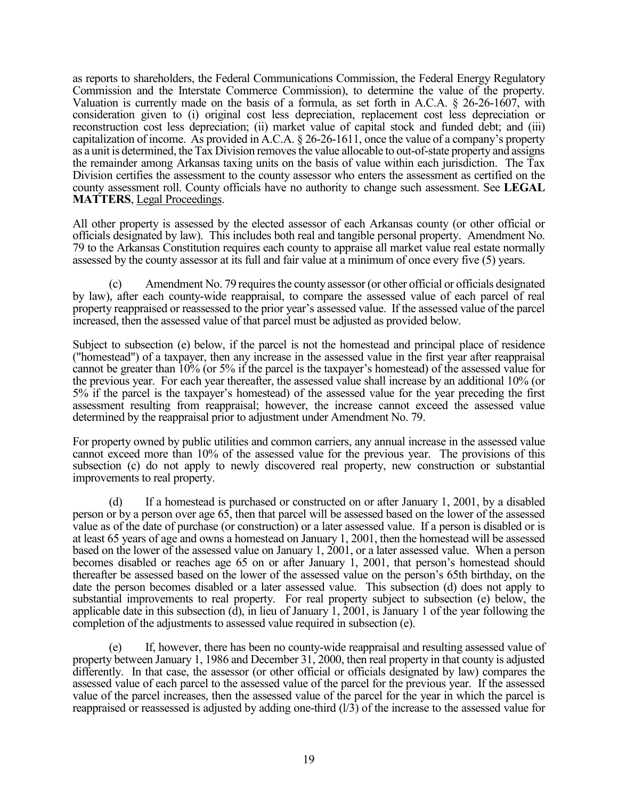as reports to shareholders, the Federal Communications Commission, the Federal Energy Regulatory Commission and the Interstate Commerce Commission), to determine the value of the property. Valuation is currently made on the basis of a formula, as set forth in A.C.A. § 26-26-1607, with consideration given to (i) original cost less depreciation, replacement cost less depreciation or reconstruction cost less depreciation; (ii) market value of capital stock and funded debt; and (iii) capitalization of income. As provided in A.C.A. § 26-26-1611, once the value of a company's property as a unit is determined, the Tax Division removes the value allocable to out-of-state property and assigns the remainder among Arkansas taxing units on the basis of value within each jurisdiction. The Tax Division certifies the assessment to the county assessor who enters the assessment as certified on the county assessment roll. County officials have no authority to change such assessment. See LEGAL MATTERS, Legal Proceedings.

All other property is assessed by the elected assessor of each Arkansas county (or other official or officials designated by law). This includes both real and tangible personal property. Amendment No. 79 to the Arkansas Constitution requires each county to appraise all market value real estate normally assessed by the county assessor at its full and fair value at a minimum of once every five (5) years.

(c) Amendment No. 79 requires the county assessor (or other official or officials designated by law), after each county-wide reappraisal, to compare the assessed value of each parcel of real property reappraised or reassessed to the prior year's assessed value. If the assessed value of the parcel increased, then the assessed value of that parcel must be adjusted as provided below.

Subject to subsection (e) below, if the parcel is not the homestead and principal place of residence ("homestead") of a taxpayer, then any increase in the assessed value in the first year after reappraisal cannot be greater than 10% (or 5% if the parcel is the taxpayer's homestead) of the assessed value for the previous year. For each year thereafter, the assessed value shall increase by an additional 10% (or 5% if the parcel is the taxpayer's homestead) of the assessed value for the year preceding the first assessment resulting from reappraisal; however, the increase cannot exceed the assessed value determined by the reappraisal prior to adjustment under Amendment No. 79.

For property owned by public utilities and common carriers, any annual increase in the assessed value cannot exceed more than 10% of the assessed value for the previous year. The provisions of this subsection (c) do not apply to newly discovered real property, new construction or substantial improvements to real property.

(d) If a homestead is purchased or constructed on or after January 1, 2001, by a disabled person or by a person over age 65, then that parcel will be assessed based on the lower of the assessed value as of the date of purchase (or construction) or a later assessed value. If a person is disabled or is at least 65 years of age and owns a homestead on January 1, 2001, then the homestead will be assessed based on the lower of the assessed value on January 1, 2001, or a later assessed value. When a person becomes disabled or reaches age 65 on or after January 1, 2001, that person's homestead should thereafter be assessed based on the lower of the assessed value on the person's 65th birthday, on the date the person becomes disabled or a later assessed value. This subsection (d) does not apply to substantial improvements to real property. For real property subject to subsection (e) below, the applicable date in this subsection (d), in lieu of January 1, 2001, is January 1 of the year following the completion of the adjustments to assessed value required in subsection (e).

(e) If, however, there has been no county-wide reappraisal and resulting assessed value of property between January 1, 1986 and December 31, 2000, then real property in that county is adjusted differently. In that case, the assessor (or other official or officials designated by law) compares the assessed value of each parcel to the assessed value of the parcel for the previous year. If the assessed value of the parcel increases, then the assessed value of the parcel for the year in which the parcel is reappraised or reassessed is adjusted by adding one-third (l/3) of the increase to the assessed value for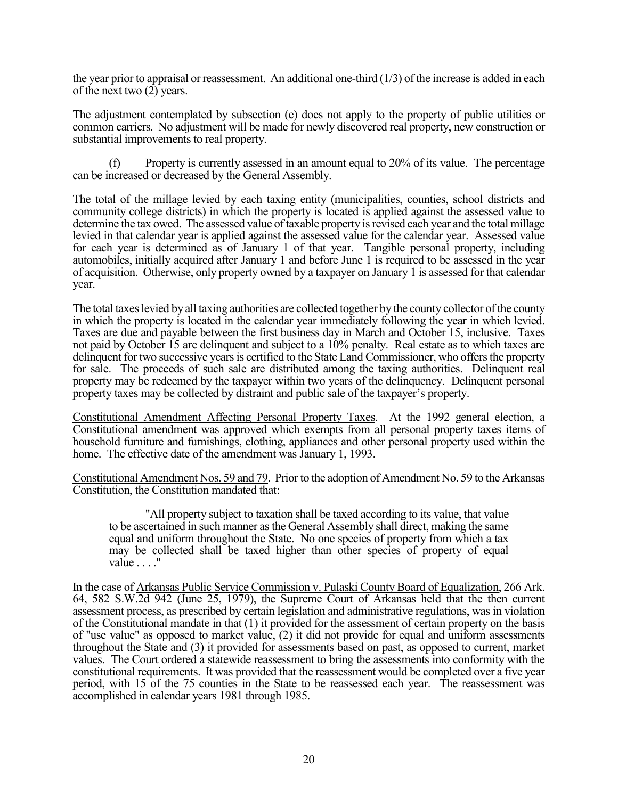the year prior to appraisal or reassessment. An additional one-third  $(1/3)$  of the increase is added in each of the next two (2) years.

The adjustment contemplated by subsection (e) does not apply to the property of public utilities or common carriers. No adjustment will be made for newly discovered real property, new construction or substantial improvements to real property.

(f) Property is currently assessed in an amount equal to 20% of its value. The percentage can be increased or decreased by the General Assembly.

The total of the millage levied by each taxing entity (municipalities, counties, school districts and community college districts) in which the property is located is applied against the assessed value to determine the tax owed. The assessed value of taxable property is revised each year and the total millage levied in that calendar year is applied against the assessed value for the calendar year. Assessed value for each year is determined as of January 1 of that year. Tangible personal property, including automobiles, initially acquired after January 1 and before June 1 is required to be assessed in the year of acquisition. Otherwise, only property owned by a taxpayer on January 1 is assessed for that calendar year.

The total taxes levied by all taxing authorities are collected together by the county collector of the county in which the property is located in the calendar year immediately following the year in which levied. Taxes are due and payable between the first business day in March and October 15, inclusive. Taxes not paid by October 15 are delinquent and subject to a 10% penalty. Real estate as to which taxes are delinquent for two successive years is certified to the State Land Commissioner, who offers the property for sale. The proceeds of such sale are distributed among the taxing authorities. Delinquent real property may be redeemed by the taxpayer within two years of the delinquency. Delinquent personal property taxes may be collected by distraint and public sale of the taxpayer's property.

Constitutional Amendment Affecting Personal Property Taxes. At the 1992 general election, a Constitutional amendment was approved which exempts from all personal property taxes items of household furniture and furnishings, clothing, appliances and other personal property used within the home. The effective date of the amendment was January 1, 1993.

Constitutional Amendment Nos. 59 and 79. Prior to the adoption of Amendment No. 59 to the Arkansas Constitution, the Constitution mandated that:

"All property subject to taxation shall be taxed according to its value, that value to be ascertained in such manner as the General Assembly shall direct, making the same equal and uniform throughout the State. No one species of property from which a tax may be collected shall be taxed higher than other species of property of equal value . . . ."

In the case of Arkansas Public Service Commission v. Pulaski County Board of Equalization, 266 Ark. 64, 582 S.W.2d 942 (June 25, 1979), the Supreme Court of Arkansas held that the then current assessment process, as prescribed by certain legislation and administrative regulations, was in violation of the Constitutional mandate in that (1) it provided for the assessment of certain property on the basis of "use value" as opposed to market value, (2) it did not provide for equal and uniform assessments throughout the State and (3) it provided for assessments based on past, as opposed to current, market values. The Court ordered a statewide reassessment to bring the assessments into conformity with the constitutional requirements. It was provided that the reassessment would be completed over a five year period, with 15 of the 75 counties in the State to be reassessed each year. The reassessment was accomplished in calendar years 1981 through 1985.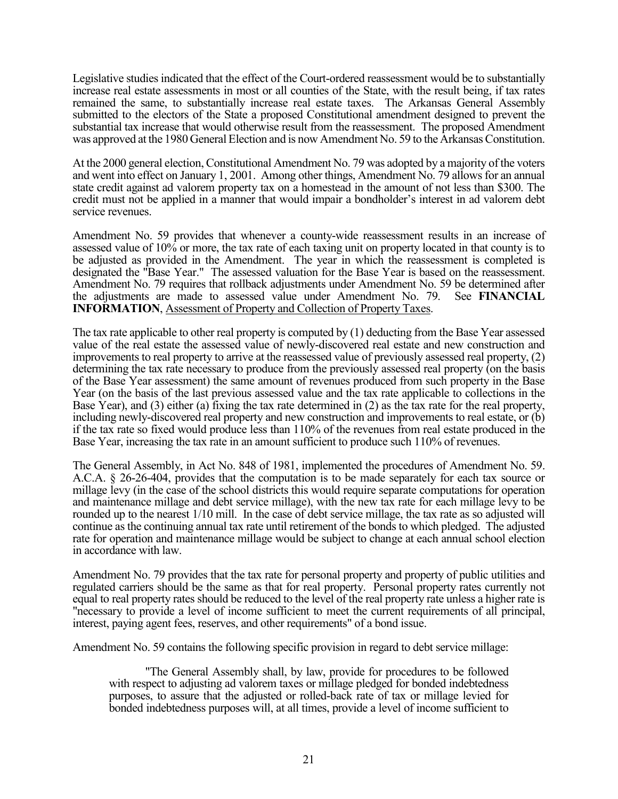Legislative studies indicated that the effect of the Court-ordered reassessment would be to substantially increase real estate assessments in most or all counties of the State, with the result being, if tax rates remained the same, to substantially increase real estate taxes. The Arkansas General Assembly submitted to the electors of the State a proposed Constitutional amendment designed to prevent the substantial tax increase that would otherwise result from the reassessment. The proposed Amendment was approved at the 1980 General Election and is now Amendment No. 59 to the Arkansas Constitution.

At the 2000 general election, Constitutional Amendment No. 79 was adopted by a majority of the voters and went into effect on January 1, 2001. Among other things, Amendment No. 79 allows for an annual state credit against ad valorem property tax on a homestead in the amount of not less than \$300. The credit must not be applied in a manner that would impair a bondholder's interest in ad valorem debt service revenues.

Amendment No. 59 provides that whenever a county-wide reassessment results in an increase of assessed value of 10% or more, the tax rate of each taxing unit on property located in that county is to be adjusted as provided in the Amendment. The year in which the reassessment is completed is designated the "Base Year." The assessed valuation for the Base Year is based on the reassessment. Amendment No. 79 requires that rollback adjustments under Amendment No. 59 be determined after the adjustments are made to assessed value under Amendment No. 79. See FINANCIAL INFORMATION, Assessment of Property and Collection of Property Taxes.

The tax rate applicable to other real property is computed by (1) deducting from the Base Year assessed value of the real estate the assessed value of newly-discovered real estate and new construction and improvements to real property to arrive at the reassessed value of previously assessed real property, (2) determining the tax rate necessary to produce from the previously assessed real property (on the basis of the Base Year assessment) the same amount of revenues produced from such property in the Base Year (on the basis of the last previous assessed value and the tax rate applicable to collections in the Base Year), and (3) either (a) fixing the tax rate determined in (2) as the tax rate for the real property, including newly-discovered real property and new construction and improvements to real estate, or (b) if the tax rate so fixed would produce less than 110% of the revenues from real estate produced in the Base Year, increasing the tax rate in an amount sufficient to produce such 110% of revenues.

The General Assembly, in Act No. 848 of 1981, implemented the procedures of Amendment No. 59. A.C.A. § 26-26-404, provides that the computation is to be made separately for each tax source or millage levy (in the case of the school districts this would require separate computations for operation and maintenance millage and debt service millage), with the new tax rate for each millage levy to be rounded up to the nearest  $1/10$  mill. In the case of debt service millage, the tax rate as so adjusted will continue as the continuing annual tax rate until retirement of the bonds to which pledged. The adjusted rate for operation and maintenance millage would be subject to change at each annual school election in accordance with law.

Amendment No. 79 provides that the tax rate for personal property and property of public utilities and regulated carriers should be the same as that for real property. Personal property rates currently not equal to real property rates should be reduced to the level of the real property rate unless a higher rate is "necessary to provide a level of income sufficient to meet the current requirements of all principal, interest, paying agent fees, reserves, and other requirements" of a bond issue.

Amendment No. 59 contains the following specific provision in regard to debt service millage:

"The General Assembly shall, by law, provide for procedures to be followed with respect to adjusting ad valorem taxes or millage pledged for bonded indebtedness purposes, to assure that the adjusted or rolled-back rate of tax or millage levied for bonded indebtedness purposes will, at all times, provide a level of income sufficient to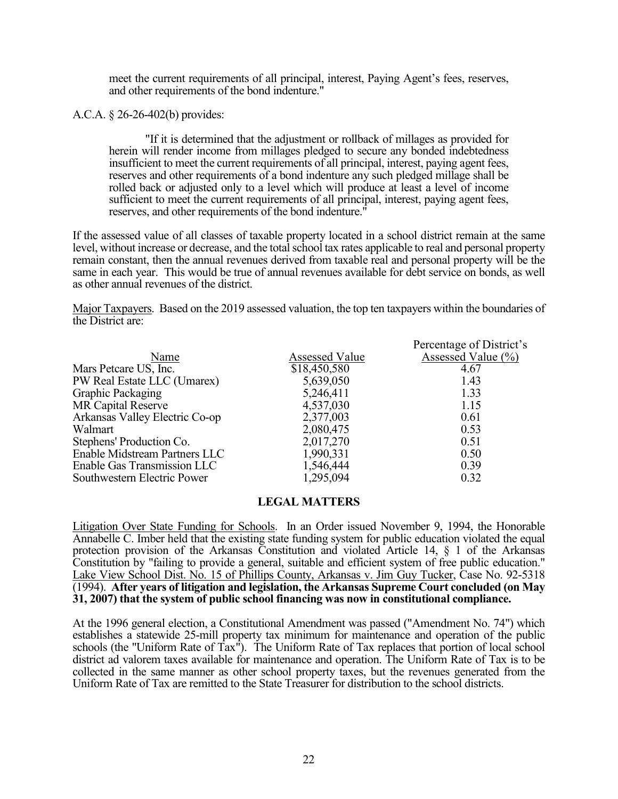meet the current requirements of all principal, interest, Paying Agent's fees, reserves, and other requirements of the bond indenture."

A.C.A. § 26-26-402(b) provides:

"If it is determined that the adjustment or rollback of millages as provided for herein will render income from millages pledged to secure any bonded indebtedness insufficient to meet the current requirements of all principal, interest, paying agent fees, reserves and other requirements of a bond indenture any such pledged millage shall be rolled back or adjusted only to a level which will produce at least a level of income sufficient to meet the current requirements of all principal, interest, paying agent fees, reserves, and other requirements of the bond indenture."

If the assessed value of all classes of taxable property located in a school district remain at the same level, without increase or decrease, and the total school tax rates applicable to real and personal property remain constant, then the annual revenues derived from taxable real and personal property will be the same in each year. This would be true of annual revenues available for debt service on bonds, as well as other annual revenues of the district.

Major Taxpayers. Based on the 2019 assessed valuation, the top ten taxpayers within the boundaries of the District are:

|                                |                       | Percentage of District's |
|--------------------------------|-----------------------|--------------------------|
| Name                           | <b>Assessed Value</b> | Assessed Value $(\% )$   |
| Mars Petcare US, Inc.          | \$18,450,580          | 4.67                     |
| PW Real Estate LLC (Umarex)    | 5,639,050             | 1.43                     |
| <b>Graphic Packaging</b>       | 5,246,411             | 1.33                     |
| <b>MR Capital Reserve</b>      | 4,537,030             | 1.15                     |
| Arkansas Valley Electric Co-op | 2,377,003             | 0.61                     |
| Walmart                        | 2,080,475             | 0.53                     |
| Stephens' Production Co.       | 2,017,270             | 0.51                     |
| Enable Midstream Partners LLC  | 1,990,331             | 0.50                     |
| Enable Gas Transmission LLC    | 1,546,444             | 0.39                     |
| Southwestern Electric Power    | 1,295,094             | 0.32                     |

# LEGAL MATTERS

Litigation Over State Funding for Schools. In an Order issued November 9, 1994, the Honorable Annabelle C. Imber held that the existing state funding system for public education violated the equal protection provision of the Arkansas Constitution and violated Article 14, § 1 of the Arkansas Constitution by "failing to provide a general, suitable and efficient system of free public education." Lake View School Dist. No. 15 of Phillips County, Arkansas v. Jim Guy Tucker, Case No. 92-5318 (1994). After years of litigation and legislation, the Arkansas Supreme Court concluded (on May 31, 2007) that the system of public school financing was now in constitutional compliance.

At the 1996 general election, a Constitutional Amendment was passed ("Amendment No. 74") which establishes a statewide 25-mill property tax minimum for maintenance and operation of the public schools (the "Uniform Rate of Tax"). The Uniform Rate of Tax replaces that portion of local school district ad valorem taxes available for maintenance and operation. The Uniform Rate of Tax is to be collected in the same manner as other school property taxes, but the revenues generated from the Uniform Rate of Tax are remitted to the State Treasurer for distribution to the school districts.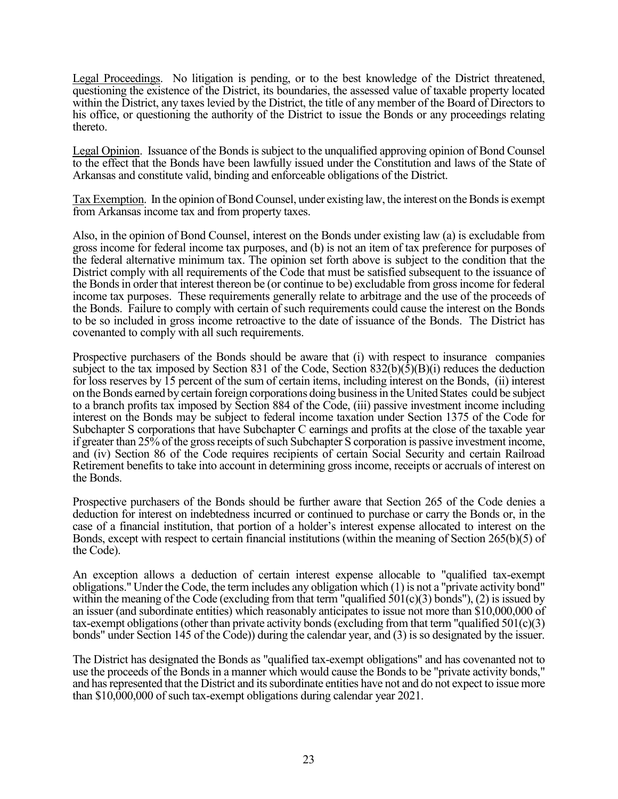Legal Proceedings. No litigation is pending, or to the best knowledge of the District threatened, questioning the existence of the District, its boundaries, the assessed value of taxable property located within the District, any taxes levied by the District, the title of any member of the Board of Directors to his office, or questioning the authority of the District to issue the Bonds or any proceedings relating thereto.

Legal Opinion. Issuance of the Bonds is subject to the unqualified approving opinion of Bond Counsel to the effect that the Bonds have been lawfully issued under the Constitution and laws of the State of Arkansas and constitute valid, binding and enforceable obligations of the District.

Tax Exemption. In the opinion of Bond Counsel, under existing law, the interest on the Bonds is exempt from Arkansas income tax and from property taxes.

Also, in the opinion of Bond Counsel, interest on the Bonds under existing law (a) is excludable from gross income for federal income tax purposes, and (b) is not an item of tax preference for purposes of the federal alternative minimum tax. The opinion set forth above is subject to the condition that the District comply with all requirements of the Code that must be satisfied subsequent to the issuance of the Bonds in order that interest thereon be (or continue to be) excludable from gross income for federal income tax purposes. These requirements generally relate to arbitrage and the use of the proceeds of the Bonds. Failure to comply with certain of such requirements could cause the interest on the Bonds to be so included in gross income retroactive to the date of issuance of the Bonds. The District has covenanted to comply with all such requirements.

Prospective purchasers of the Bonds should be aware that (i) with respect to insurance companies subject to the tax imposed by Section 831 of the Code, Section 832(b)(5)(B)(i) reduces the deduction for loss reserves by 15 percent of the sum of certain items, including interest on the Bonds, (ii) interest on the Bonds earned by certain foreign corporations doing business in the United States could be subject to a branch profits tax imposed by Section 884 of the Code, (iii) passive investment income including interest on the Bonds may be subject to federal income taxation under Section 1375 of the Code for Subchapter S corporations that have Subchapter C earnings and profits at the close of the taxable year if greater than 25% of the gross receipts of such Subchapter S corporation is passive investment income, and (iv) Section 86 of the Code requires recipients of certain Social Security and certain Railroad Retirement benefits to take into account in determining gross income, receipts or accruals of interest on the Bonds.

Prospective purchasers of the Bonds should be further aware that Section 265 of the Code denies a deduction for interest on indebtedness incurred or continued to purchase or carry the Bonds or, in the case of a financial institution, that portion of a holder's interest expense allocated to interest on the Bonds, except with respect to certain financial institutions (within the meaning of Section 265(b)(5) of the Code).

An exception allows a deduction of certain interest expense allocable to "qualified tax-exempt obligations." Under the Code, the term includes any obligation which (1) is not a "private activity bond" within the meaning of the Code (excluding from that term "qualified  $501(c)(3)$  bonds"), (2) is issued by an issuer (and subordinate entities) which reasonably anticipates to issue not more than \$10,000,000 of tax-exempt obligations (other than private activity bonds (excluding from that term "qualified  $501(c)(3)$ ) bonds" under Section 145 of the Code)) during the calendar year, and (3) is so designated by the issuer.

The District has designated the Bonds as "qualified tax-exempt obligations" and has covenanted not to use the proceeds of the Bonds in a manner which would cause the Bonds to be "private activity bonds," and has represented that the District and its subordinate entities have not and do not expect to issue more than \$10,000,000 of such tax-exempt obligations during calendar year 2021.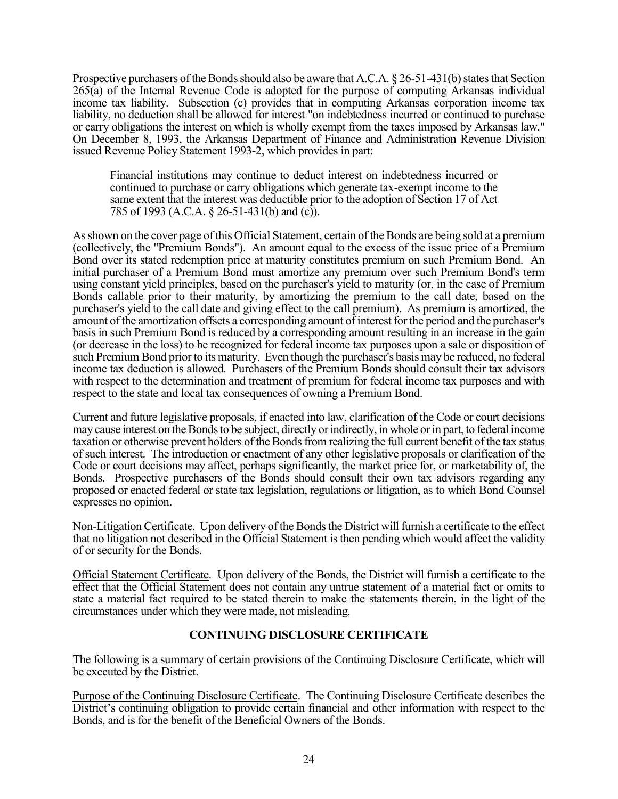Prospective purchasers of the Bonds should also be aware that A.C.A. § 26-51-431(b) states that Section 265(a) of the Internal Revenue Code is adopted for the purpose of computing Arkansas individual income tax liability. Subsection (c) provides that in computing Arkansas corporation income tax liability, no deduction shall be allowed for interest "on indebtedness incurred or continued to purchase or carry obligations the interest on which is wholly exempt from the taxes imposed by Arkansas law." On December 8, 1993, the Arkansas Department of Finance and Administration Revenue Division issued Revenue Policy Statement 1993-2, which provides in part:

Financial institutions may continue to deduct interest on indebtedness incurred or continued to purchase or carry obligations which generate tax-exempt income to the same extent that the interest was deductible prior to the adoption of Section 17 of Act 785 of 1993 (A.C.A. § 26-51-431(b) and (c)).

As shown on the cover page of this Official Statement, certain of the Bonds are being sold at a premium (collectively, the "Premium Bonds"). An amount equal to the excess of the issue price of a Premium Bond over its stated redemption price at maturity constitutes premium on such Premium Bond. An initial purchaser of a Premium Bond must amortize any premium over such Premium Bond's term using constant yield principles, based on the purchaser's yield to maturity (or, in the case of Premium Bonds callable prior to their maturity, by amortizing the premium to the call date, based on the purchaser's yield to the call date and giving effect to the call premium). As premium is amortized, the amount of the amortization offsets a corresponding amount of interest for the period and the purchaser's basis in such Premium Bond is reduced by a corresponding amount resulting in an increase in the gain (or decrease in the loss) to be recognized for federal income tax purposes upon a sale or disposition of such Premium Bond prior to its maturity. Even though the purchaser's basis may be reduced, no federal income tax deduction is allowed. Purchasers of the Premium Bonds should consult their tax advisors with respect to the determination and treatment of premium for federal income tax purposes and with respect to the state and local tax consequences of owning a Premium Bond.

Current and future legislative proposals, if enacted into law, clarification of the Code or court decisions may cause interest on the Bonds to be subject, directly or indirectly, in whole or in part, to federal income taxation or otherwise prevent holders of the Bonds from realizing the full current benefit of the tax status of such interest. The introduction or enactment of any other legislative proposals or clarification of the Code or court decisions may affect, perhaps significantly, the market price for, or marketability of, the Bonds. Prospective purchasers of the Bonds should consult their own tax advisors regarding any proposed or enacted federal or state tax legislation, regulations or litigation, as to which Bond Counsel expresses no opinion.

Non-Litigation Certificate. Upon delivery of the Bonds the District will furnish a certificate to the effect that no litigation not described in the Official Statement is then pending which would affect the validity of or security for the Bonds.

Official Statement Certificate. Upon delivery of the Bonds, the District will furnish a certificate to the effect that the Official Statement does not contain any untrue statement of a material fact or omits to state a material fact required to be stated therein to make the statements therein, in the light of the circumstances under which they were made, not misleading.

# CONTINUING DISCLOSURE CERTIFICATE

The following is a summary of certain provisions of the Continuing Disclosure Certificate, which will be executed by the District.

Purpose of the Continuing Disclosure Certificate. The Continuing Disclosure Certificate describes the District's continuing obligation to provide certain financial and other information with respect to the Bonds, and is for the benefit of the Beneficial Owners of the Bonds.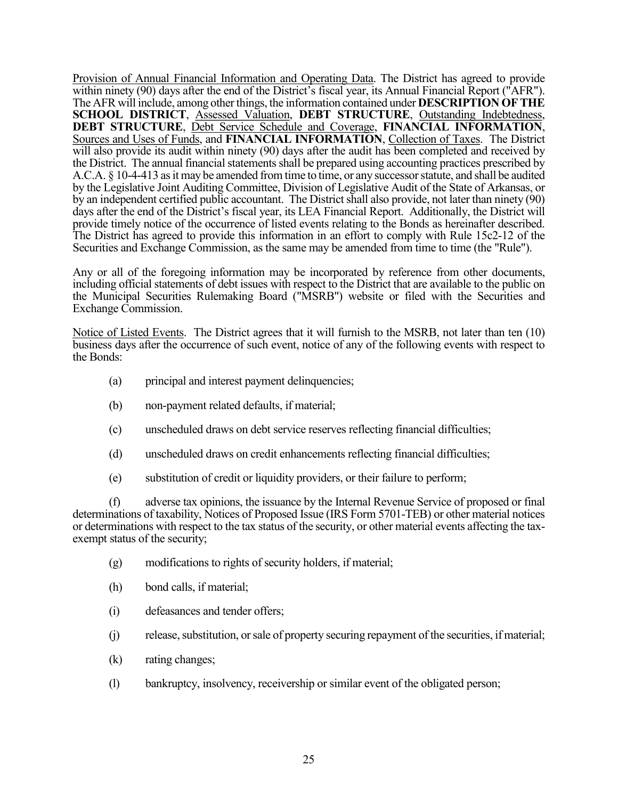Provision of Annual Financial Information and Operating Data. The District has agreed to provide within ninety (90) days after the end of the District's fiscal year, its Annual Financial Report ("AFR"). The AFR will include, among other things, the information contained under DESCRIPTION OF THE SCHOOL DISTRICT, Assessed Valuation, DEBT STRUCTURE, Outstanding Indebtedness, DEBT STRUCTURE, Debt Service Schedule and Coverage, FINANCIAL INFORMATION, Sources and Uses of Funds, and FINANCIAL INFORMATION, Collection of Taxes. The District will also provide its audit within ninety (90) days after the audit has been completed and received by the District. The annual financial statements shall be prepared using accounting practices prescribed by A.C.A. § 10-4-413 as it may be amended from time to time, or any successor statute, and shall be audited by the Legislative Joint Auditing Committee, Division of Legislative Audit of the State of Arkansas, or by an independent certified public accountant. The District shall also provide, not later than ninety (90) days after the end of the District's fiscal year, its LEA Financial Report. Additionally, the District will provide timely notice of the occurrence of listed events relating to the Bonds as hereinafter described. The District has agreed to provide this information in an effort to comply with Rule 15c2-12 of the Securities and Exchange Commission, as the same may be amended from time to time (the "Rule").

Any or all of the foregoing information may be incorporated by reference from other documents, including official statements of debt issues with respect to the District that are available to the public on the Municipal Securities Rulemaking Board ("MSRB") website or filed with the Securities and Exchange Commission.

Notice of Listed Events. The District agrees that it will furnish to the MSRB, not later than ten (10) business days after the occurrence of such event, notice of any of the following events with respect to the Bonds:

- (a) principal and interest payment delinquencies;
- (b) non-payment related defaults, if material;
- (c) unscheduled draws on debt service reserves reflecting financial difficulties;
- (d) unscheduled draws on credit enhancements reflecting financial difficulties;
- (e) substitution of credit or liquidity providers, or their failure to perform;

(f) adverse tax opinions, the issuance by the Internal Revenue Service of proposed or final determinations of taxability, Notices of Proposed Issue (IRS Form 5701-TEB) or other material notices or determinations with respect to the tax status of the security, or other material events affecting the taxexempt status of the security;

- (g) modifications to rights of security holders, if material;
- (h) bond calls, if material;
- (i) defeasances and tender offers;
- (j) release, substitution, or sale of property securing repayment of the securities, if material;
- (k) rating changes;
- (l) bankruptcy, insolvency, receivership or similar event of the obligated person;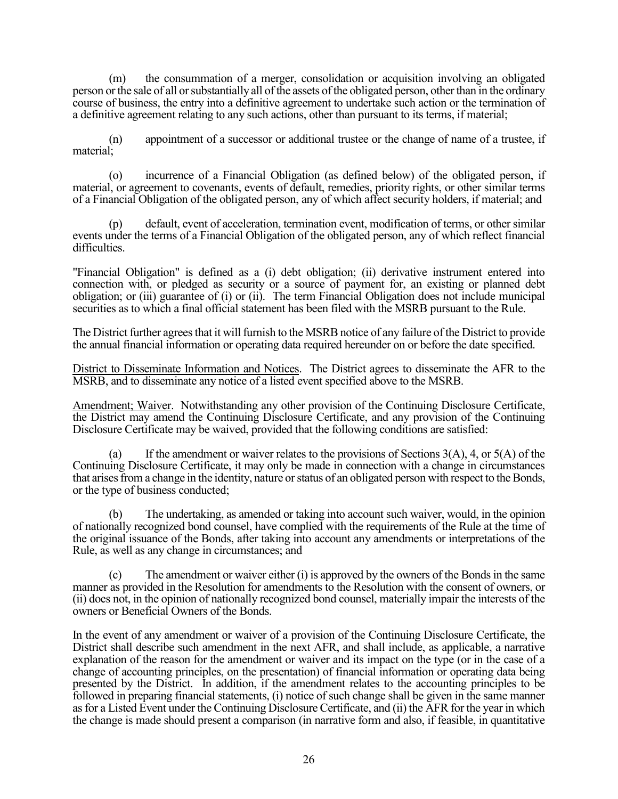(m) the consummation of a merger, consolidation or acquisition involving an obligated person or the sale of all or substantially all of the assets of the obligated person, other than in the ordinary course of business, the entry into a definitive agreement to undertake such action or the termination of a definitive agreement relating to any such actions, other than pursuant to its terms, if material;

(n) appointment of a successor or additional trustee or the change of name of a trustee, if material;

(o) incurrence of a Financial Obligation (as defined below) of the obligated person, if material, or agreement to covenants, events of default, remedies, priority rights, or other similar terms of a Financial Obligation of the obligated person, any of which affect security holders, if material; and

(p) default, event of acceleration, termination event, modification of terms, or other similar events under the terms of a Financial Obligation of the obligated person, any of which reflect financial difficulties.

"Financial Obligation" is defined as a (i) debt obligation; (ii) derivative instrument entered into connection with, or pledged as security or a source of payment for, an existing or planned debt obligation; or (iii) guarantee of (i) or (ii). The term Financial Obligation does not include municipal securities as to which a final official statement has been filed with the MSRB pursuant to the Rule.

The District further agrees that it will furnish to the MSRB notice of any failure of the District to provide the annual financial information or operating data required hereunder on or before the date specified.

District to Disseminate Information and Notices. The District agrees to disseminate the AFR to the MSRB, and to disseminate any notice of a listed event specified above to the MSRB.

Amendment; Waiver. Notwithstanding any other provision of the Continuing Disclosure Certificate, the District may amend the Continuing Disclosure Certificate, and any provision of the Continuing Disclosure Certificate may be waived, provided that the following conditions are satisfied:

(a) If the amendment or waiver relates to the provisions of Sections  $3(A)$ , 4, or  $5(A)$  of the Continuing Disclosure Certificate, it may only be made in connection with a change in circumstances that arises from a change in the identity, nature or status of an obligated person with respect to the Bonds, or the type of business conducted;

(b) The undertaking, as amended or taking into account such waiver, would, in the opinion of nationally recognized bond counsel, have complied with the requirements of the Rule at the time of the original issuance of the Bonds, after taking into account any amendments or interpretations of the Rule, as well as any change in circumstances; and

(c) The amendment or waiver either (i) is approved by the owners of the Bonds in the same manner as provided in the Resolution for amendments to the Resolution with the consent of owners, or (ii) does not, in the opinion of nationally recognized bond counsel, materially impair the interests of the owners or Beneficial Owners of the Bonds.

In the event of any amendment or waiver of a provision of the Continuing Disclosure Certificate, the District shall describe such amendment in the next AFR, and shall include, as applicable, a narrative explanation of the reason for the amendment or waiver and its impact on the type (or in the case of a change of accounting principles, on the presentation) of financial information or operating data being presented by the District. In addition, if the amendment relates to the accounting principles to be followed in preparing financial statements, (i) notice of such change shall be given in the same manner as for a Listed Event under the Continuing Disclosure Certificate, and (ii) the AFR for the year in which the change is made should present a comparison (in narrative form and also, if feasible, in quantitative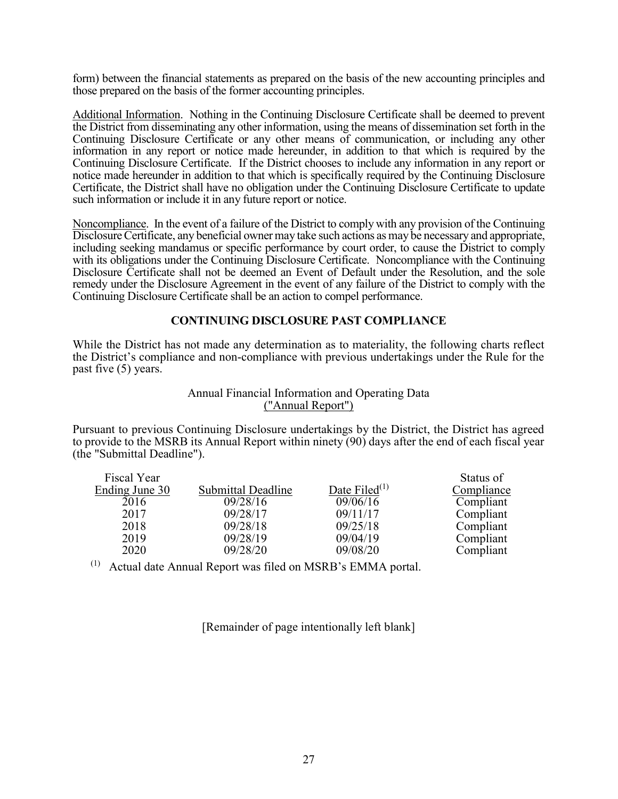form) between the financial statements as prepared on the basis of the new accounting principles and those prepared on the basis of the former accounting principles.

Additional Information. Nothing in the Continuing Disclosure Certificate shall be deemed to prevent the District from disseminating any other information, using the means of dissemination set forth in the Continuing Disclosure Certificate or any other means of communication, or including any other information in any report or notice made hereunder, in addition to that which is required by the Continuing Disclosure Certificate. If the District chooses to include any information in any report or notice made hereunder in addition to that which is specifically required by the Continuing Disclosure Certificate, the District shall have no obligation under the Continuing Disclosure Certificate to update such information or include it in any future report or notice.

Noncompliance. In the event of a failure of the District to comply with any provision of the Continuing Disclosure Certificate, any beneficial owner may take such actions as may be necessary and appropriate, including seeking mandamus or specific performance by court order, to cause the District to comply with its obligations under the Continuing Disclosure Certificate. Noncompliance with the Continuing Disclosure Certificate shall not be deemed an Event of Default under the Resolution, and the sole remedy under the Disclosure Agreement in the event of any failure of the District to comply with the Continuing Disclosure Certificate shall be an action to compel performance.

# CONTINUING DISCLOSURE PAST COMPLIANCE

While the District has not made any determination as to materiality, the following charts reflect the District's compliance and non-compliance with previous undertakings under the Rule for the past five (5) years.

# Annual Financial Information and Operating Data ("Annual Report")

Pursuant to previous Continuing Disclosure undertakings by the District, the District has agreed to provide to the MSRB its Annual Report within ninety (90) days after the end of each fiscal year (the "Submittal Deadline").

| Fiscal Year    |                    |                  | Status of  |
|----------------|--------------------|------------------|------------|
| Ending June 30 | Submittal Deadline | Date Filed $(1)$ | Compliance |
| 2016           | 09/28/16           | 09/06/16         | Compliant  |
| 2017           | 09/28/17           | 09/11/17         | Compliant  |
| 2018           | 09/28/18           | 09/25/18         | Compliant  |
| 2019           | 09/28/19           | 09/04/19         | Compliant  |
| 2020           | 09/28/20           | 09/08/20         | Compliant  |

 $(1)$  Actual date Annual Report was filed on MSRB's EMMA portal.

[Remainder of page intentionally left blank]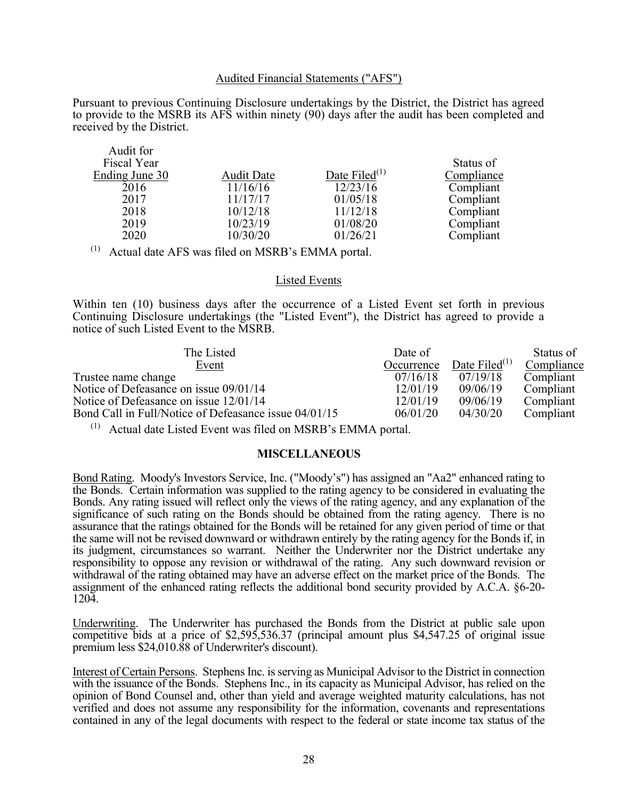# Audited Financial Statements ("AFS")

Pursuant to previous Continuing Disclosure undertakings by the District, the District has agreed to provide to the MSRB its AFS within ninety (90) days after the audit has been completed and received by the District.

| Audit for      |                   |                  |            |
|----------------|-------------------|------------------|------------|
| Fiscal Year    |                   |                  | Status of  |
| Ending June 30 | <b>Audit Date</b> | Date Filed $(1)$ | Compliance |
| 2016           | 11/16/16          | 12/23/16         | Compliant  |
| 2017           | 11/17/17          | 01/05/18         | Compliant  |
| 2018           | 10/12/18          | 11/12/18         | Compliant  |
| 2019           | 10/23/19          | 01/08/20         | Compliant  |
| 2020           | 10/30/20          | 01/26/21         | Compliant  |

 $(1)$  Actual date AFS was filed on MSRB's EMMA portal.

#### Listed Events

Within ten (10) business days after the occurrence of a Listed Event set forth in previous Continuing Disclosure undertakings (the "Listed Event"), the District has agreed to provide a notice of such Listed Event to the MSRB.

| The Listed                                            | Date of    |                  | Status of  |
|-------------------------------------------------------|------------|------------------|------------|
| Event                                                 | Occurrence | Date Filed $(1)$ | Compliance |
| Trustee name change                                   | 07/16/18   | 07/19/18         | Compliant  |
| Notice of Defeasance on issue 09/01/14                | 12/01/19   | 09/06/19         | Compliant  |
| Notice of Defeasance on issue 12/01/14                | 12/01/19   | 09/06/19         | Compliant  |
| Bond Call in Full/Notice of Defeasance issue 04/01/15 | 06/01/20   | 04/30/20         | Compliant  |
|                                                       |            |                  |            |

 $(1)$  Actual date Listed Event was filed on MSRB's EMMA portal.

#### MISCELLANEOUS

Bond Rating. Moody's Investors Service, Inc. ("Moody's") has assigned an "Aa2" enhanced rating to the Bonds. Certain information was supplied to the rating agency to be considered in evaluating the Bonds. Any rating issued will reflect only the views of the rating agency, and any explanation of the significance of such rating on the Bonds should be obtained from the rating agency. There is no assurance that the ratings obtained for the Bonds will be retained for any given period of time or that the same will not be revised downward or withdrawn entirely by the rating agency for the Bonds if, in its judgment, circumstances so warrant. Neither the Underwriter nor the District undertake any responsibility to oppose any revision or withdrawal of the rating. Any such downward revision or withdrawal of the rating obtained may have an adverse effect on the market price of the Bonds. The assignment of the enhanced rating reflects the additional bond security provided by A.C.A. §6-20- 1204.

Underwriting. The Underwriter has purchased the Bonds from the District at public sale upon competitive bids at a price of \$2,595,536.37 (principal amount plus \$4,547.25 of original issue premium less \$24,010.88 of Underwriter's discount).

Interest of Certain Persons. Stephens Inc. is serving as Municipal Advisor to the District in connection with the issuance of the Bonds. Stephens Inc., in its capacity as Municipal Advisor, has relied on the opinion of Bond Counsel and, other than yield and average weighted maturity calculations, has not verified and does not assume any responsibility for the information, covenants and representations contained in any of the legal documents with respect to the federal or state income tax status of the